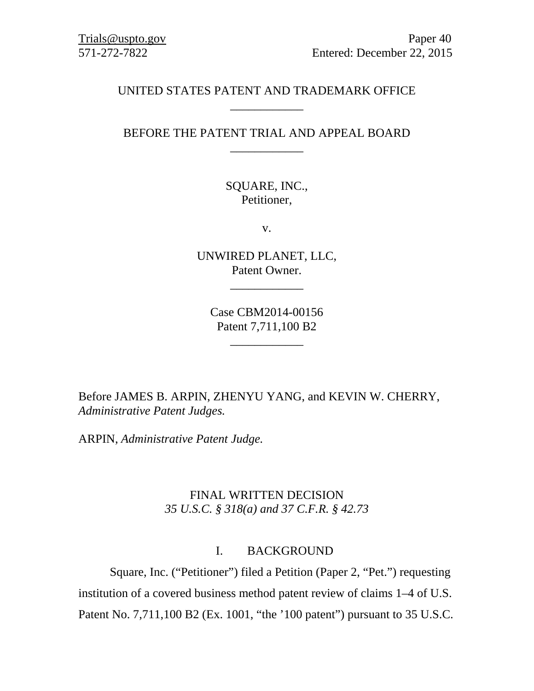## UNITED STATES PATENT AND TRADEMARK OFFICE \_\_\_\_\_\_\_\_\_\_\_\_

# BEFORE THE PATENT TRIAL AND APPEAL BOARD \_\_\_\_\_\_\_\_\_\_\_\_

SQUARE, INC., Petitioner,

v.

UNWIRED PLANET, LLC, Patent Owner.

\_\_\_\_\_\_\_\_\_\_\_\_

Case CBM2014-00156 Patent 7,711,100 B2

\_\_\_\_\_\_\_\_\_\_\_\_

Before JAMES B. ARPIN, ZHENYU YANG, and KEVIN W. CHERRY, *Administrative Patent Judges.*

ARPIN, *Administrative Patent Judge.* 

# FINAL WRITTEN DECISION *35 U.S.C. § 318(a) and 37 C.F.R. § 42.73*

## I. BACKGROUND

Square, Inc. ("Petitioner") filed a Petition (Paper 2, "Pet.") requesting institution of a covered business method patent review of claims 1–4 of U.S. Patent No. 7,711,100 B2 (Ex. 1001, "the '100 patent") pursuant to 35 U.S.C.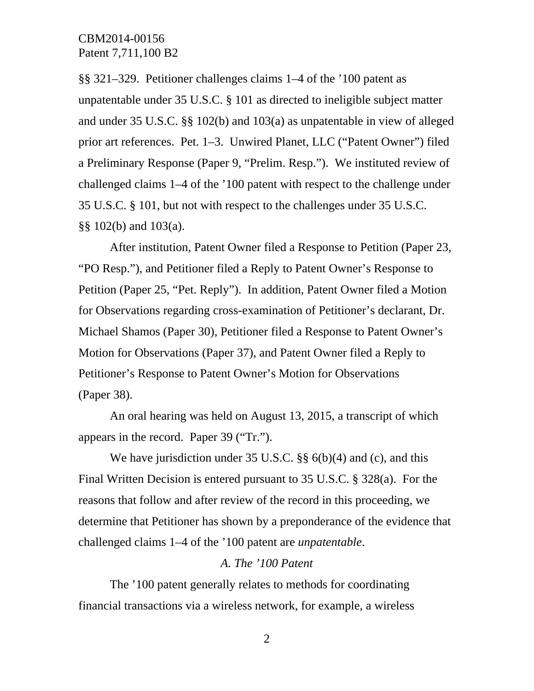§§ 321–329. Petitioner challenges claims 1–4 of the '100 patent as unpatentable under 35 U.S.C. § 101 as directed to ineligible subject matter and under 35 U.S.C. §§ 102(b) and 103(a) as unpatentable in view of alleged prior art references. Pet. 1–3. Unwired Planet, LLC ("Patent Owner") filed a Preliminary Response (Paper 9, "Prelim. Resp."). We instituted review of challenged claims 1–4 of the '100 patent with respect to the challenge under 35 U.S.C. § 101, but not with respect to the challenges under 35 U.S.C. §§ 102(b) and 103(a).

After institution, Patent Owner filed a Response to Petition (Paper 23, "PO Resp."), and Petitioner filed a Reply to Patent Owner's Response to Petition (Paper 25, "Pet. Reply"). In addition, Patent Owner filed a Motion for Observations regarding cross-examination of Petitioner's declarant, Dr. Michael Shamos (Paper 30), Petitioner filed a Response to Patent Owner's Motion for Observations (Paper 37), and Patent Owner filed a Reply to Petitioner's Response to Patent Owner's Motion for Observations (Paper 38).

 An oral hearing was held on August 13, 2015, a transcript of which appears in the record. Paper 39 ("Tr.").

We have jurisdiction under 35 U.S.C. §§ 6(b)(4) and (c), and this Final Written Decision is entered pursuant to 35 U.S.C. § 328(a). For the reasons that follow and after review of the record in this proceeding, we determine that Petitioner has shown by a preponderance of the evidence that challenged claims 1–4 of the '100 patent are *unpatentable*.

#### *A. The '100 Patent*

The '100 patent generally relates to methods for coordinating financial transactions via a wireless network, for example, a wireless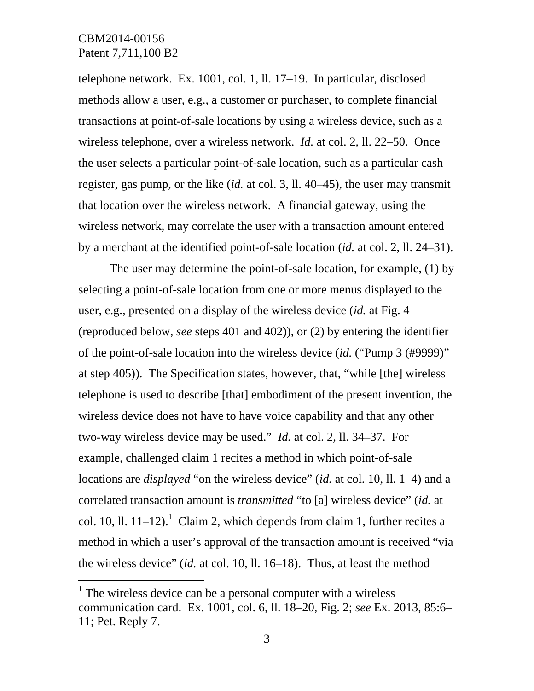$\overline{a}$ 

telephone network. Ex. 1001, col. 1, ll. 17–19. In particular, disclosed methods allow a user, e.g., a customer or purchaser, to complete financial transactions at point-of-sale locations by using a wireless device, such as a wireless telephone, over a wireless network. *Id.* at col. 2, ll. 22–50. Once the user selects a particular point-of-sale location, such as a particular cash register, gas pump, or the like (*id.* at col. 3, ll. 40–45), the user may transmit that location over the wireless network. A financial gateway, using the wireless network, may correlate the user with a transaction amount entered by a merchant at the identified point-of-sale location (*id.* at col. 2, ll. 24–31).

The user may determine the point-of-sale location, for example, (1) by selecting a point-of-sale location from one or more menus displayed to the user, e.g., presented on a display of the wireless device (*id.* at Fig. 4 (reproduced below, *see* steps 401 and 402)), or (2) by entering the identifier of the point-of-sale location into the wireless device (*id.* ("Pump 3 (#9999)" at step 405)). The Specification states, however, that, "while [the] wireless telephone is used to describe [that] embodiment of the present invention, the wireless device does not have to have voice capability and that any other two-way wireless device may be used." *Id.* at col. 2, ll. 34–37. For example, challenged claim 1 recites a method in which point-of-sale locations are *displayed* "on the wireless device" (*id.* at col. 10, ll. 1–4) and a correlated transaction amount is *transmitted* "to [a] wireless device" (*id.* at col. 10, ll.  $11-12$ ).<sup>1</sup> Claim 2, which depends from claim 1, further recites a method in which a user's approval of the transaction amount is received "via the wireless device" (*id.* at col. 10, ll. 16–18). Thus, at least the method

 $<sup>1</sup>$  The wireless device can be a personal computer with a wireless</sup> communication card. Ex. 1001, col. 6, ll. 18–20, Fig. 2; *see* Ex. 2013, 85:6– 11; Pet. Reply 7.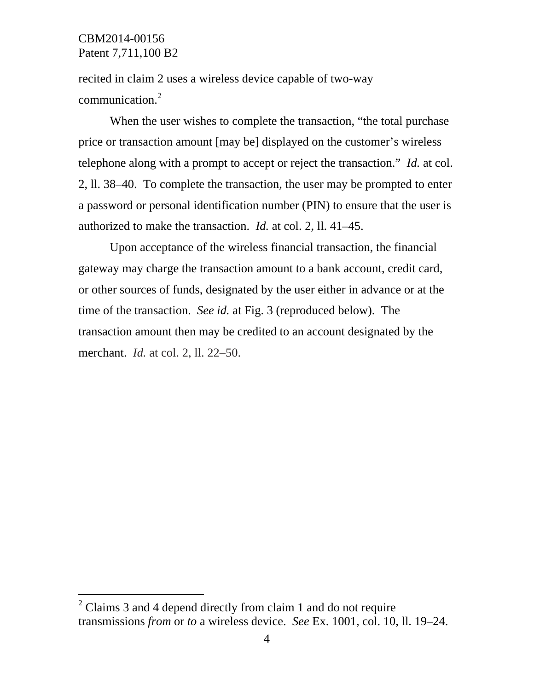-

recited in claim 2 uses a wireless device capable of two-way communication.2

When the user wishes to complete the transaction, "the total purchase price or transaction amount [may be] displayed on the customer's wireless telephone along with a prompt to accept or reject the transaction." *Id.* at col. 2, ll. 38–40. To complete the transaction, the user may be prompted to enter a password or personal identification number (PIN) to ensure that the user is authorized to make the transaction. *Id.* at col. 2, ll. 41–45.

Upon acceptance of the wireless financial transaction, the financial gateway may charge the transaction amount to a bank account, credit card, or other sources of funds, designated by the user either in advance or at the time of the transaction. *See id.* at Fig. 3 (reproduced below). The transaction amount then may be credited to an account designated by the merchant. *Id.* at col. 2, ll. 22–50.

 $2$  Claims 3 and 4 depend directly from claim 1 and do not require transmissions *from* or *to* a wireless device. *See* Ex. 1001, col. 10, ll. 19–24.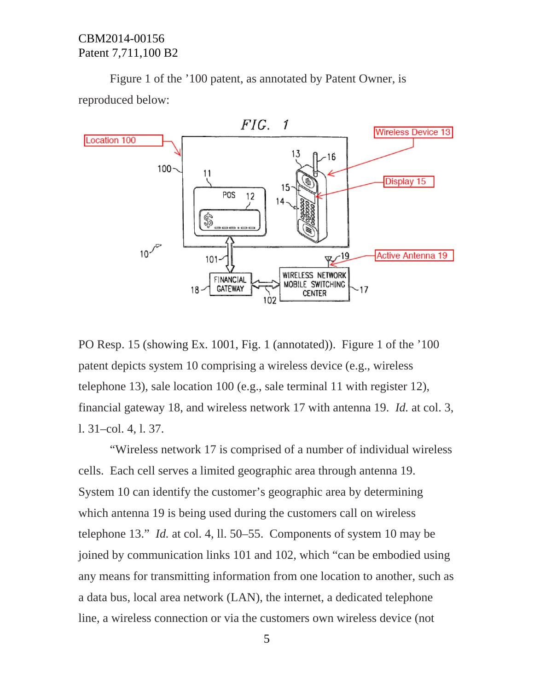Figure 1 of the '100 patent, as annotated by Patent Owner, is reproduced below:



PO Resp. 15 (showing Ex. 1001, Fig. 1 (annotated)). Figure 1 of the '100 patent depicts system 10 comprising a wireless device (e.g., wireless telephone 13), sale location 100 (e.g., sale terminal 11 with register 12), financial gateway 18, and wireless network 17 with antenna 19. *Id.* at col. 3, l. 31–col. 4, l. 37.

"Wireless network 17 is comprised of a number of individual wireless cells. Each cell serves a limited geographic area through antenna 19. System 10 can identify the customer's geographic area by determining which antenna 19 is being used during the customers call on wireless telephone 13." *Id.* at col. 4, ll. 50–55. Components of system 10 may be joined by communication links 101 and 102, which "can be embodied using any means for transmitting information from one location to another, such as a data bus, local area network (LAN), the internet, a dedicated telephone line, a wireless connection or via the customers own wireless device (not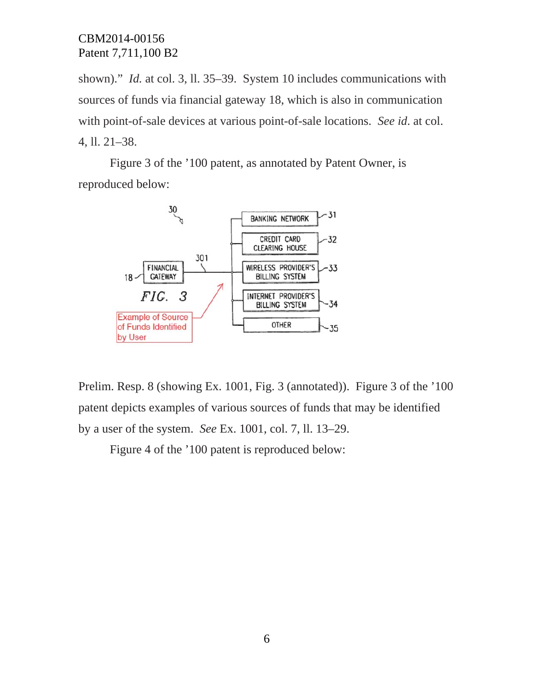shown)." *Id.* at col. 3, 11. 35–39. System 10 includes communications with sources of funds via financial gateway 18, which is also in communication with point-of-sale devices at various point-of-sale locations. *See id*. at col. 4, ll. 21–38.

Figure 3 of the '100 patent, as annotated by Patent Owner, is reproduced below:



Prelim. Resp. 8 (showing Ex. 1001, Fig. 3 (annotated)). Figure 3 of the '100 patent depicts examples of various sources of funds that may be identified by a user of the system. *See* Ex. 1001, col. 7, ll. 13–29.

Figure 4 of the '100 patent is reproduced below: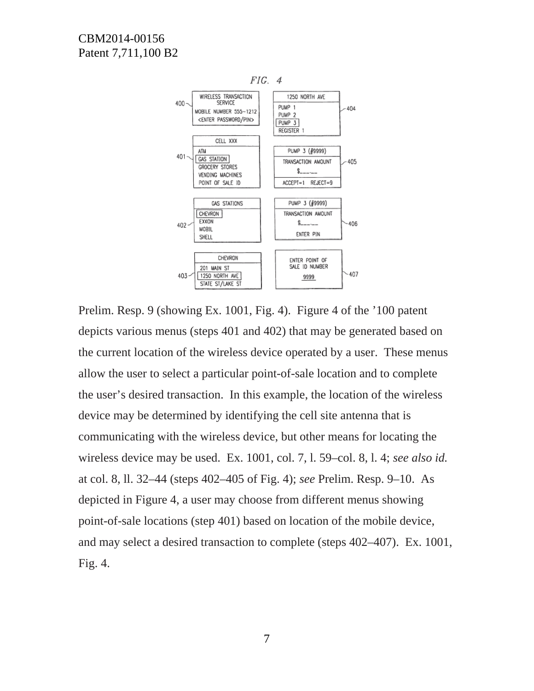

Prelim. Resp. 9 (showing Ex. 1001, Fig. 4). Figure 4 of the '100 patent depicts various menus (steps 401 and 402) that may be generated based on the current location of the wireless device operated by a user. These menus allow the user to select a particular point-of-sale location and to complete the user's desired transaction. In this example, the location of the wireless device may be determined by identifying the cell site antenna that is communicating with the wireless device, but other means for locating the wireless device may be used. Ex. 1001, col. 7, l. 59–col. 8, l. 4; *see also id.* at col. 8, ll. 32–44 (steps 402–405 of Fig. 4); *see* Prelim. Resp. 9–10. As depicted in Figure 4, a user may choose from different menus showing point-of-sale locations (step 401) based on location of the mobile device, and may select a desired transaction to complete (steps 402–407). Ex. 1001, Fig. 4.

7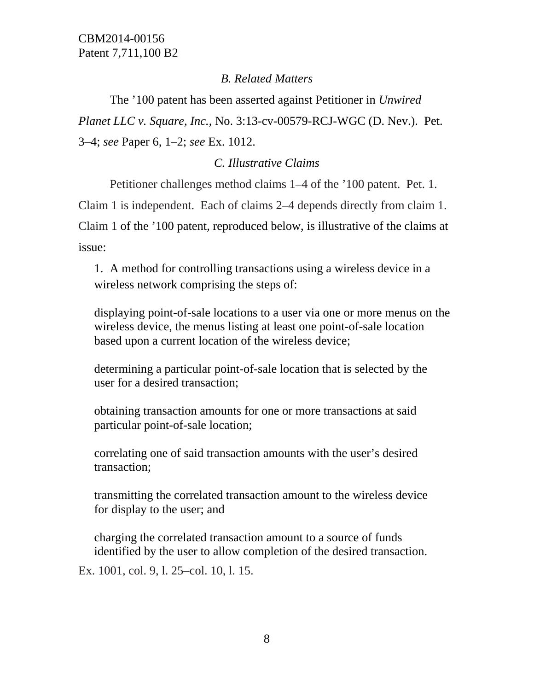# *B. Related Matters*

 The '100 patent has been asserted against Petitioner in *Unwired Planet LLC v. Square, Inc.*, No. 3:13-cv-00579-RCJ-WGC (D. Nev.). Pet. 3–4; *see* Paper 6, 1–2; *see* Ex. 1012.

# *C. Illustrative Claims*

Petitioner challenges method claims 1–4 of the '100 patent. Pet. 1.

Claim 1 is independent. Each of claims 2–4 depends directly from claim 1. Claim 1 of the '100 patent, reproduced below, is illustrative of the claims at issue:

1. A method for controlling transactions using a wireless device in a wireless network comprising the steps of:

displaying point-of-sale locations to a user via one or more menus on the wireless device, the menus listing at least one point-of-sale location based upon a current location of the wireless device;

determining a particular point-of-sale location that is selected by the user for a desired transaction;

obtaining transaction amounts for one or more transactions at said particular point-of-sale location;

correlating one of said transaction amounts with the user's desired transaction;

transmitting the correlated transaction amount to the wireless device for display to the user; and

charging the correlated transaction amount to a source of funds identified by the user to allow completion of the desired transaction.

Ex. 1001, col. 9, l. 25–col. 10, l. 15.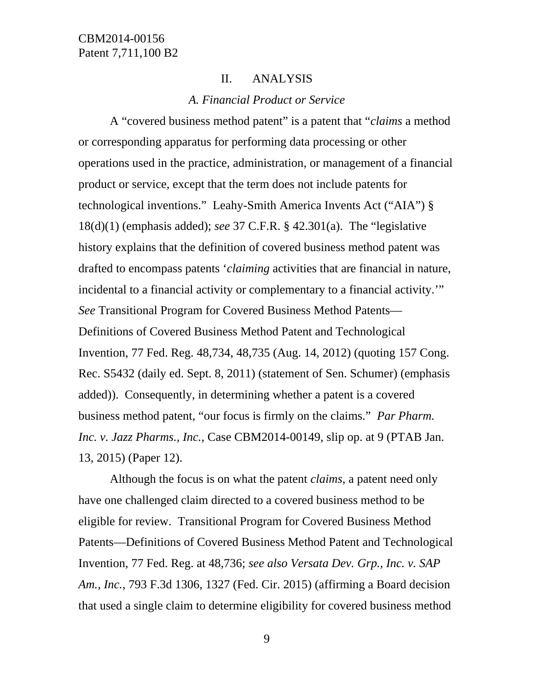#### II. ANALYSIS

#### *A. Financial Product or Service*

A "covered business method patent" is a patent that "*claims* a method or corresponding apparatus for performing data processing or other operations used in the practice, administration, or management of a financial product or service, except that the term does not include patents for technological inventions." Leahy-Smith America Invents Act ("AIA") § 18(d)(1) (emphasis added); *see* 37 C.F.R. § 42.301(a). The "legislative history explains that the definition of covered business method patent was drafted to encompass patents '*claiming* activities that are financial in nature, incidental to a financial activity or complementary to a financial activity.'" *See* Transitional Program for Covered Business Method Patents— Definitions of Covered Business Method Patent and Technological Invention, 77 Fed. Reg. 48,734, 48,735 (Aug. 14, 2012) (quoting 157 Cong. Rec. S5432 (daily ed. Sept. 8, 2011) (statement of Sen. Schumer) (emphasis added)). Consequently, in determining whether a patent is a covered business method patent, "our focus is firmly on the claims." *Par Pharm. Inc. v. Jazz Pharms., Inc.*, Case CBM2014-00149, slip op. at 9 (PTAB Jan. 13, 2015) (Paper 12).

Although the focus is on what the patent *claims*, a patent need only have one challenged claim directed to a covered business method to be eligible for review. Transitional Program for Covered Business Method Patents—Definitions of Covered Business Method Patent and Technological Invention, 77 Fed. Reg. at 48,736; *see also Versata Dev. Grp., Inc. v. SAP Am., Inc.*, 793 F.3d 1306, 1327 (Fed. Cir. 2015) (affirming a Board decision that used a single claim to determine eligibility for covered business method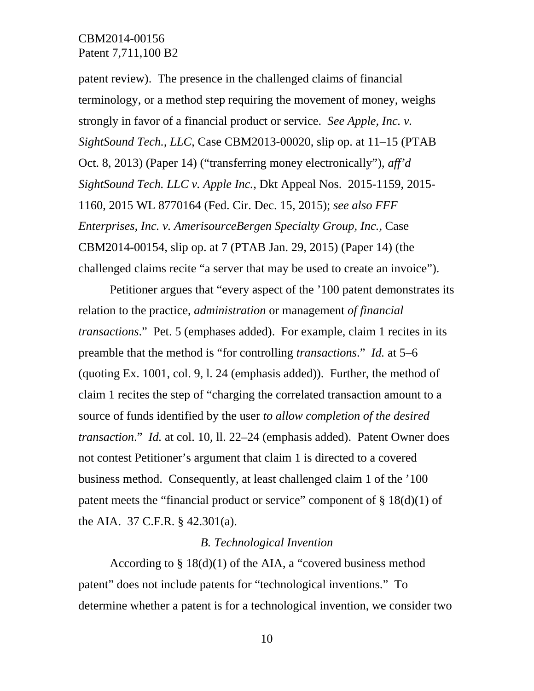patent review). The presence in the challenged claims of financial terminology, or a method step requiring the movement of money, weighs strongly in favor of a financial product or service. *See Apple, Inc. v. SightSound Tech., LLC*, Case CBM2013-00020, slip op. at 11–15 (PTAB Oct. 8, 2013) (Paper 14) ("transferring money electronically"), *aff'd SightSound Tech. LLC v. Apple Inc.*, Dkt Appeal Nos. 2015-1159, 2015- 1160, 2015 WL 8770164 (Fed. Cir. Dec. 15, 2015); *see also FFF Enterprises, Inc. v. AmerisourceBergen Specialty Group, Inc.*, Case CBM2014-00154, slip op. at 7 (PTAB Jan. 29, 2015) (Paper 14) (the challenged claims recite "a server that may be used to create an invoice").

Petitioner argues that "every aspect of the '100 patent demonstrates its relation to the practice, *administration* or management *of financial transactions*." Pet. 5 (emphases added). For example, claim 1 recites in its preamble that the method is "for controlling *transactions*." *Id.* at 5–6 (quoting Ex. 1001, col. 9, l. 24 (emphasis added)). Further, the method of claim 1 recites the step of "charging the correlated transaction amount to a source of funds identified by the user *to allow completion of the desired transaction*." *Id.* at col. 10, ll. 22–24 (emphasis added). Patent Owner does not contest Petitioner's argument that claim 1 is directed to a covered business method. Consequently, at least challenged claim 1 of the '100 patent meets the "financial product or service" component of § 18(d)(1) of the AIA. 37 C.F.R. § 42.301(a).

#### *B. Technological Invention*

According to § 18(d)(1) of the AIA, a "covered business method patent" does not include patents for "technological inventions." To determine whether a patent is for a technological invention, we consider two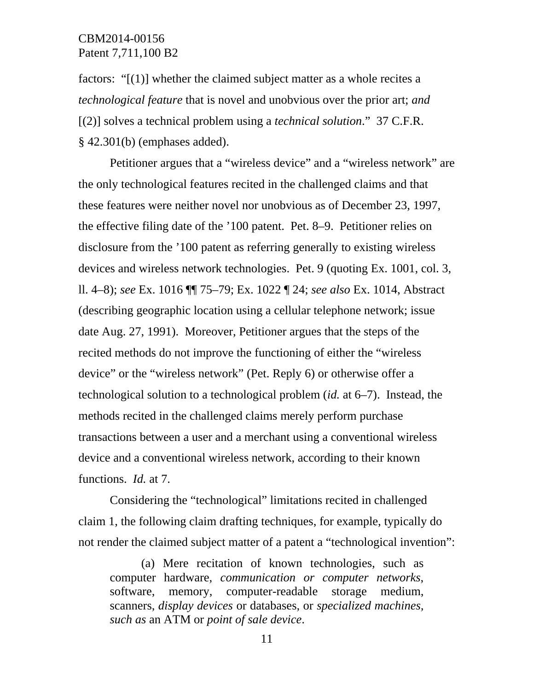factors: "[(1)] whether the claimed subject matter as a whole recites a *technological feature* that is novel and unobvious over the prior art; *and* [(2)] solves a technical problem using a *technical solution*." 37 C.F.R. § 42.301(b) (emphases added).

Petitioner argues that a "wireless device" and a "wireless network" are the only technological features recited in the challenged claims and that these features were neither novel nor unobvious as of December 23, 1997, the effective filing date of the '100 patent. Pet. 8–9. Petitioner relies on disclosure from the '100 patent as referring generally to existing wireless devices and wireless network technologies. Pet. 9 (quoting Ex. 1001, col. 3, ll. 4–8); *see* Ex. 1016 ¶¶ 75–79; Ex. 1022 ¶ 24; *see also* Ex. 1014, Abstract (describing geographic location using a cellular telephone network; issue date Aug. 27, 1991). Moreover, Petitioner argues that the steps of the recited methods do not improve the functioning of either the "wireless device" or the "wireless network" (Pet. Reply 6) or otherwise offer a technological solution to a technological problem (*id.* at 6–7). Instead, the methods recited in the challenged claims merely perform purchase transactions between a user and a merchant using a conventional wireless device and a conventional wireless network, according to their known functions. *Id.* at 7.

Considering the "technological" limitations recited in challenged claim 1, the following claim drafting techniques, for example, typically do not render the claimed subject matter of a patent a "technological invention":

(a) Mere recitation of known technologies, such as computer hardware, *communication or computer networks*, software, memory, computer-readable storage medium, scanners, *display devices* or databases, or *specialized machines, such as* an ATM or *point of sale device*.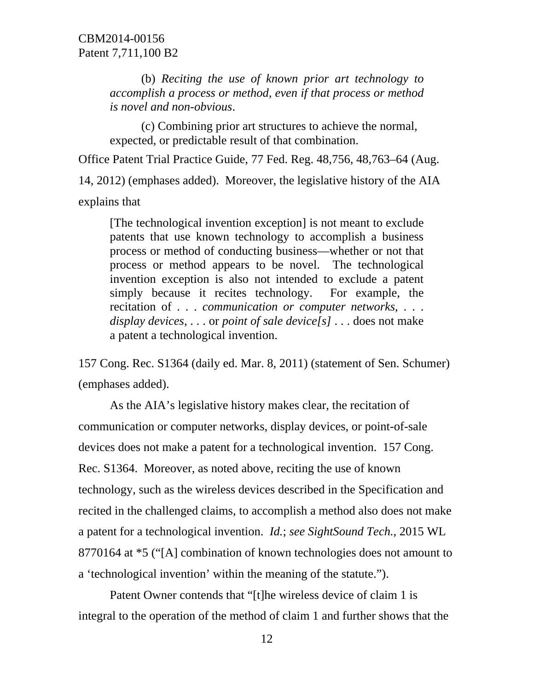(b) *Reciting the use of known prior art technology to accomplish a process or method, even if that process or method is novel and non-obvious*.

(c) Combining prior art structures to achieve the normal, expected, or predictable result of that combination.

Office Patent Trial Practice Guide, 77 Fed. Reg. 48,756, 48,763–64 (Aug.

14, 2012) (emphases added). Moreover, the legislative history of the AIA explains that

[The technological invention exception] is not meant to exclude patents that use known technology to accomplish a business process or method of conducting business––whether or not that process or method appears to be novel. The technological invention exception is also not intended to exclude a patent simply because it recites technology. For example, the recitation of . . . *communication or computer networks*, . . . *display devices*, . . . or *point of sale device[s]* . . . does not make a patent a technological invention.

157 Cong. Rec. S1364 (daily ed. Mar. 8, 2011) (statement of Sen. Schumer) (emphases added).

As the AIA's legislative history makes clear, the recitation of communication or computer networks, display devices, or point-of-sale devices does not make a patent for a technological invention. 157 Cong. Rec. S1364. Moreover, as noted above, reciting the use of known technology, such as the wireless devices described in the Specification and recited in the challenged claims, to accomplish a method also does not make a patent for a technological invention. *Id.*; *see SightSound Tech.*, 2015 WL 8770164 at \*5 ("[A] combination of known technologies does not amount to a 'technological invention' within the meaning of the statute.").

Patent Owner contends that "[t]he wireless device of claim 1 is integral to the operation of the method of claim 1 and further shows that the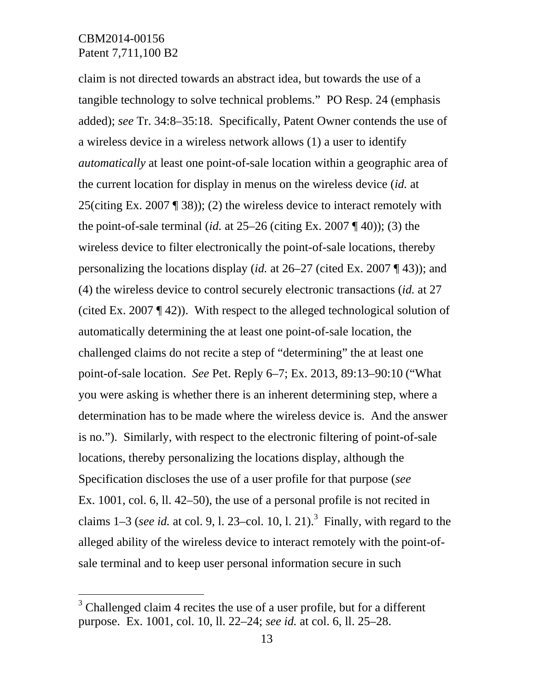-

claim is not directed towards an abstract idea, but towards the use of a tangible technology to solve technical problems." PO Resp. 24 (emphasis added); *see* Tr. 34:8–35:18. Specifically, Patent Owner contends the use of a wireless device in a wireless network allows (1) a user to identify *automatically* at least one point-of-sale location within a geographic area of the current location for display in menus on the wireless device (*id.* at 25(citing Ex. 2007 ¶ 38)); (2) the wireless device to interact remotely with the point-of-sale terminal (*id.* at  $25-26$  (citing Ex. 2007 ¶ 40)); (3) the wireless device to filter electronically the point-of-sale locations, thereby personalizing the locations display (*id.* at 26–27 (cited Ex. 2007 ¶ 43)); and (4) the wireless device to control securely electronic transactions (*id.* at 27 (cited Ex. 2007 ¶ 42)). With respect to the alleged technological solution of automatically determining the at least one point-of-sale location, the challenged claims do not recite a step of "determining" the at least one point-of-sale location. *See* Pet. Reply 6–7; Ex. 2013, 89:13–90:10 ("What you were asking is whether there is an inherent determining step, where a determination has to be made where the wireless device is. And the answer is no."). Similarly, with respect to the electronic filtering of point-of-sale locations, thereby personalizing the locations display, although the Specification discloses the use of a user profile for that purpose (*see* Ex. 1001, col. 6, ll. 42–50), the use of a personal profile is not recited in claims  $1-3$  (*see id.* at col. 9, 1. 23–col. 10, 1. 21).<sup>3</sup> Finally, with regard to the alleged ability of the wireless device to interact remotely with the point-ofsale terminal and to keep user personal information secure in such

 $3$  Challenged claim 4 recites the use of a user profile, but for a different purpose. Ex. 1001, col. 10, ll. 22–24; *see id.* at col. 6, ll. 25–28.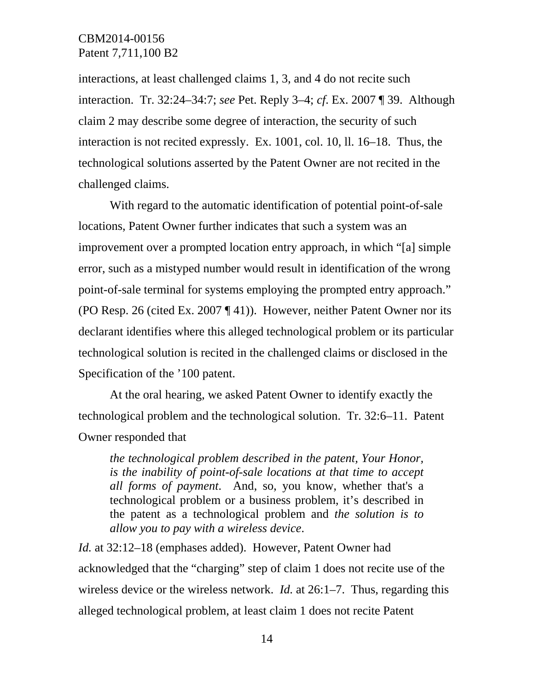interactions, at least challenged claims 1, 3, and 4 do not recite such interaction. Tr. 32:24–34:7; *see* Pet. Reply 3–4; *cf*. Ex. 2007 ¶ 39. Although claim 2 may describe some degree of interaction, the security of such interaction is not recited expressly. Ex. 1001, col. 10, ll. 16–18. Thus, the technological solutions asserted by the Patent Owner are not recited in the challenged claims.

With regard to the automatic identification of potential point-of-sale locations, Patent Owner further indicates that such a system was an improvement over a prompted location entry approach, in which "[a] simple error, such as a mistyped number would result in identification of the wrong point-of-sale terminal for systems employing the prompted entry approach." (PO Resp. 26 (cited Ex. 2007 ¶ 41)). However, neither Patent Owner nor its declarant identifies where this alleged technological problem or its particular technological solution is recited in the challenged claims or disclosed in the Specification of the '100 patent.

At the oral hearing, we asked Patent Owner to identify exactly the technological problem and the technological solution. Tr. 32:6–11. Patent Owner responded that

*the technological problem described in the patent, Your Honor, is the inability of point-of-sale locations at that time to accept all forms of payment*. And, so, you know, whether that's a technological problem or a business problem, it's described in the patent as a technological problem and *the solution is to allow you to pay with a wireless device*.

*Id.* at 32:12–18 (emphases added). However, Patent Owner had acknowledged that the "charging" step of claim 1 does not recite use of the wireless device or the wireless network. *Id.* at 26:1–7. Thus, regarding this alleged technological problem, at least claim 1 does not recite Patent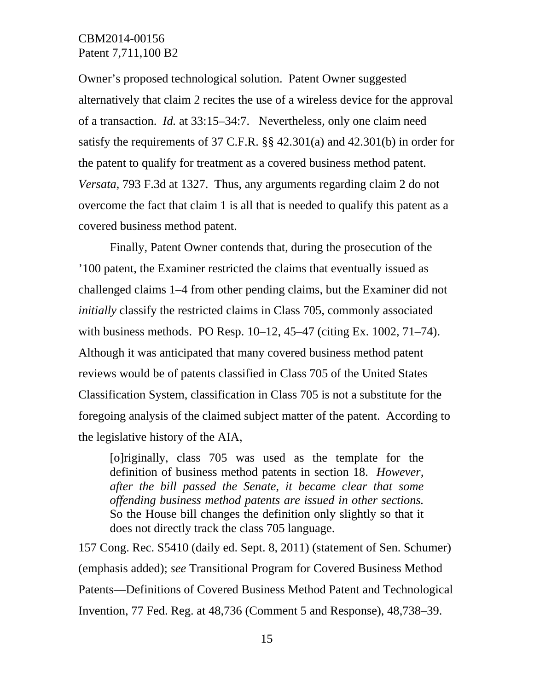Owner's proposed technological solution. Patent Owner suggested alternatively that claim 2 recites the use of a wireless device for the approval of a transaction. *Id.* at 33:15–34:7. Nevertheless, only one claim need satisfy the requirements of 37 C.F.R. §§ 42.301(a) and 42.301(b) in order for the patent to qualify for treatment as a covered business method patent. *Versata*, 793 F.3d at 1327. Thus, any arguments regarding claim 2 do not overcome the fact that claim 1 is all that is needed to qualify this patent as a covered business method patent.

Finally, Patent Owner contends that, during the prosecution of the '100 patent, the Examiner restricted the claims that eventually issued as challenged claims 1–4 from other pending claims, but the Examiner did not *initially* classify the restricted claims in Class 705, commonly associated with business methods. PO Resp. 10–12, 45–47 (citing Ex. 1002, 71–74). Although it was anticipated that many covered business method patent reviews would be of patents classified in Class 705 of the United States Classification System, classification in Class 705 is not a substitute for the foregoing analysis of the claimed subject matter of the patent. According to the legislative history of the AIA,

[o]riginally, class 705 was used as the template for the definition of business method patents in section 18. *However, after the bill passed the Senate, it became clear that some offending business method patents are issued in other sections.* So the House bill changes the definition only slightly so that it does not directly track the class 705 language.

157 Cong. Rec. S5410 (daily ed. Sept. 8, 2011) (statement of Sen. Schumer) (emphasis added); *see* Transitional Program for Covered Business Method Patents—Definitions of Covered Business Method Patent and Technological Invention, 77 Fed. Reg. at 48,736 (Comment 5 and Response), 48,738–39.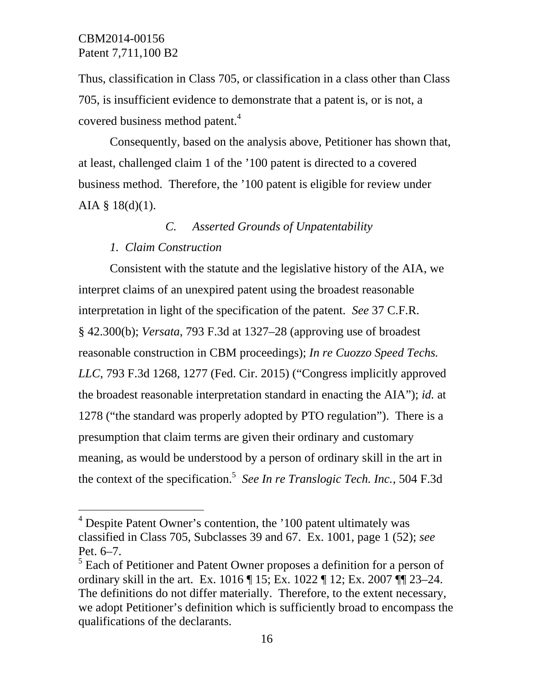Thus, classification in Class 705, or classification in a class other than Class 705, is insufficient evidence to demonstrate that a patent is, or is not, a covered business method patent.<sup>4</sup>

Consequently, based on the analysis above, Petitioner has shown that, at least, challenged claim 1 of the '100 patent is directed to a covered business method. Therefore, the '100 patent is eligible for review under AIA  $\S$  18(d)(1).

*C. Asserted Grounds of Unpatentability* 

#### *1. Claim Construction*

l

Consistent with the statute and the legislative history of the AIA, we interpret claims of an unexpired patent using the broadest reasonable interpretation in light of the specification of the patent. *See* 37 C.F.R. § 42.300(b); *Versata*, 793 F.3d at 1327–28 (approving use of broadest reasonable construction in CBM proceedings); *In re Cuozzo Speed Techs. LLC*, 793 F.3d 1268, 1277 (Fed. Cir. 2015) ("Congress implicitly approved the broadest reasonable interpretation standard in enacting the AIA"); *id.* at 1278 ("the standard was properly adopted by PTO regulation"). There is a presumption that claim terms are given their ordinary and customary meaning, as would be understood by a person of ordinary skill in the art in the context of the specification.<sup>5</sup> *See In re Translogic Tech. Inc.*, 504 F.3d

<sup>&</sup>lt;sup>4</sup> Despite Patent Owner's contention, the '100 patent ultimately was classified in Class 705, Subclasses 39 and 67. Ex. 1001, page 1 (52); *see* Pet. 6–7.

 $<sup>5</sup>$  Each of Petitioner and Patent Owner proposes a definition for a person of</sup> ordinary skill in the art. Ex. 1016 ¶ 15; Ex. 1022 ¶ 12; Ex. 2007 ¶¶ 23–24. The definitions do not differ materially. Therefore, to the extent necessary, we adopt Petitioner's definition which is sufficiently broad to encompass the qualifications of the declarants.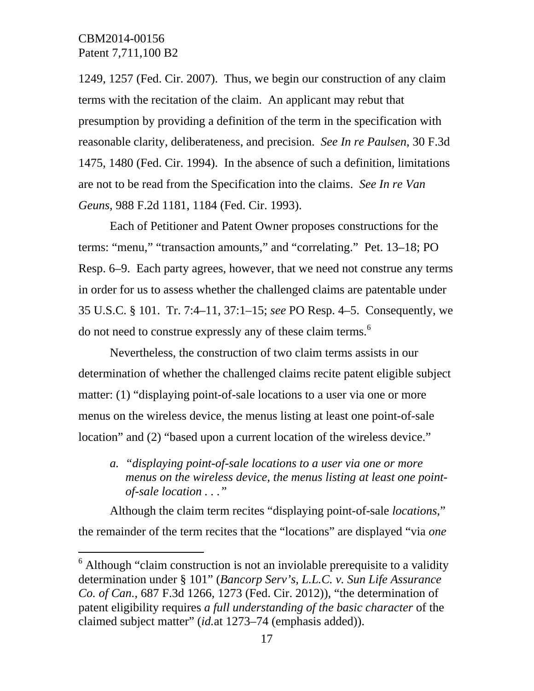l

1249, 1257 (Fed. Cir. 2007). Thus, we begin our construction of any claim terms with the recitation of the claim. An applicant may rebut that presumption by providing a definition of the term in the specification with reasonable clarity, deliberateness, and precision. *See In re Paulsen*, 30 F.3d 1475, 1480 (Fed. Cir. 1994). In the absence of such a definition, limitations are not to be read from the Specification into the claims. *See In re Van Geuns*, 988 F.2d 1181, 1184 (Fed. Cir. 1993).

Each of Petitioner and Patent Owner proposes constructions for the terms: "menu," "transaction amounts," and "correlating." Pet. 13–18; PO Resp. 6–9. Each party agrees, however, that we need not construe any terms in order for us to assess whether the challenged claims are patentable under 35 U.S.C. § 101. Tr. 7:4–11, 37:1–15; *see* PO Resp. 4–5. Consequently, we do not need to construe expressly any of these claim terms.<sup>6</sup>

Nevertheless, the construction of two claim terms assists in our determination of whether the challenged claims recite patent eligible subject matter: (1) "displaying point-of-sale locations to a user via one or more menus on the wireless device, the menus listing at least one point-of-sale location" and (2) "based upon a current location of the wireless device."

*a. "displaying point-of-sale locations to a user via one or more menus on the wireless device, the menus listing at least one pointof-sale location . . ."* 

Although the claim term recites "displaying point-of-sale *locations*," the remainder of the term recites that the "locations" are displayed "via *one* 

 $6$  Although "claim construction is not an inviolable prerequisite to a validity determination under § 101" (*Bancorp Serv's, L.L.C. v. Sun Life Assurance Co. of Can.*, 687 F.3d 1266, 1273 (Fed. Cir. 2012)), "the determination of patent eligibility requires *a full understanding of the basic character* of the claimed subject matter" (*id.*at 1273–74 (emphasis added)).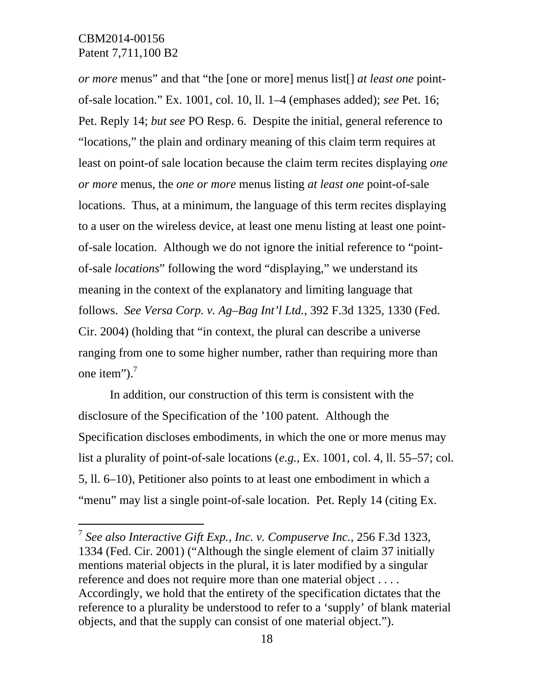$\overline{a}$ 

*or more* menus" and that "the [one or more] menus list[] *at least one* pointof-sale location." Ex. 1001, col. 10, ll. 1–4 (emphases added); *see* Pet. 16; Pet. Reply 14; *but see* PO Resp. 6. Despite the initial, general reference to "locations," the plain and ordinary meaning of this claim term requires at least on point-of sale location because the claim term recites displaying *one or more* menus, the *one or more* menus listing *at least one* point-of-sale locations. Thus, at a minimum, the language of this term recites displaying to a user on the wireless device, at least one menu listing at least one pointof-sale location. Although we do not ignore the initial reference to "pointof-sale *locations*" following the word "displaying," we understand its meaning in the context of the explanatory and limiting language that follows. *See Versa Corp. v. Ag–Bag Int'l Ltd.*, 392 F.3d 1325, 1330 (Fed. Cir. 2004) (holding that "in context, the plural can describe a universe ranging from one to some higher number, rather than requiring more than one item").<sup>7</sup>

In addition, our construction of this term is consistent with the disclosure of the Specification of the '100 patent. Although the Specification discloses embodiments, in which the one or more menus may list a plurality of point-of-sale locations (*e.g.*, Ex. 1001, col. 4, ll. 55–57; col. 5, ll. 6–10), Petitioner also points to at least one embodiment in which a "menu" may list a single point-of-sale location. Pet. Reply 14 (citing Ex.

<sup>7</sup> *See also Interactive Gift Exp., Inc. v. Compuserve Inc.*, 256 F.3d 1323, 1334 (Fed. Cir. 2001) ("Although the single element of claim 37 initially mentions material objects in the plural, it is later modified by a singular reference and does not require more than one material object . . . . Accordingly, we hold that the entirety of the specification dictates that the reference to a plurality be understood to refer to a 'supply' of blank material objects, and that the supply can consist of one material object.").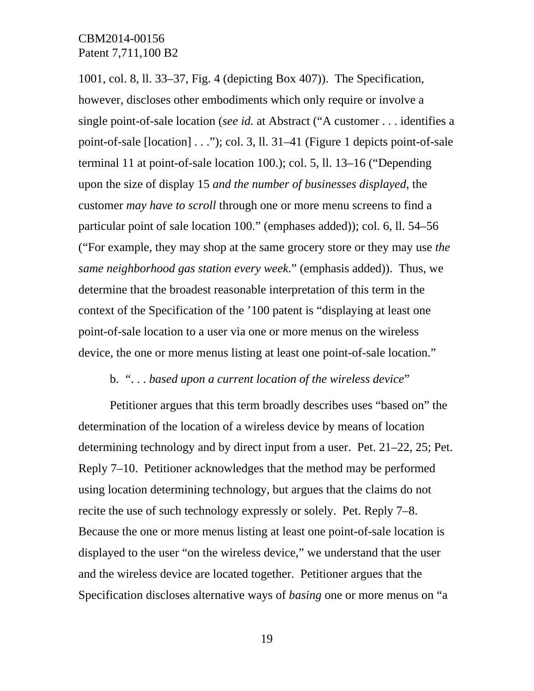1001, col. 8, ll. 33–37, Fig. 4 (depicting Box 407)). The Specification, however, discloses other embodiments which only require or involve a single point-of-sale location (*see id.* at Abstract ("A customer . . . identifies a point-of-sale [location] . . ."); col. 3, ll. 31–41 (Figure 1 depicts point-of-sale terminal 11 at point-of-sale location 100.); col. 5, ll. 13–16 ("Depending upon the size of display 15 *and the number of businesses displayed*, the customer *may have to scroll* through one or more menu screens to find a particular point of sale location 100." (emphases added)); col. 6, ll. 54–56 ("For example, they may shop at the same grocery store or they may use *the same neighborhood gas station every week*." (emphasis added)). Thus, we determine that the broadest reasonable interpretation of this term in the context of the Specification of the '100 patent is "displaying at least one point-of-sale location to a user via one or more menus on the wireless device, the one or more menus listing at least one point-of-sale location."

#### b. ". . . *based upon a current location of the wireless device*"

Petitioner argues that this term broadly describes uses "based on" the determination of the location of a wireless device by means of location determining technology and by direct input from a user. Pet. 21–22, 25; Pet. Reply 7–10. Petitioner acknowledges that the method may be performed using location determining technology, but argues that the claims do not recite the use of such technology expressly or solely. Pet. Reply 7–8. Because the one or more menus listing at least one point-of-sale location is displayed to the user "on the wireless device," we understand that the user and the wireless device are located together. Petitioner argues that the Specification discloses alternative ways of *basing* one or more menus on "a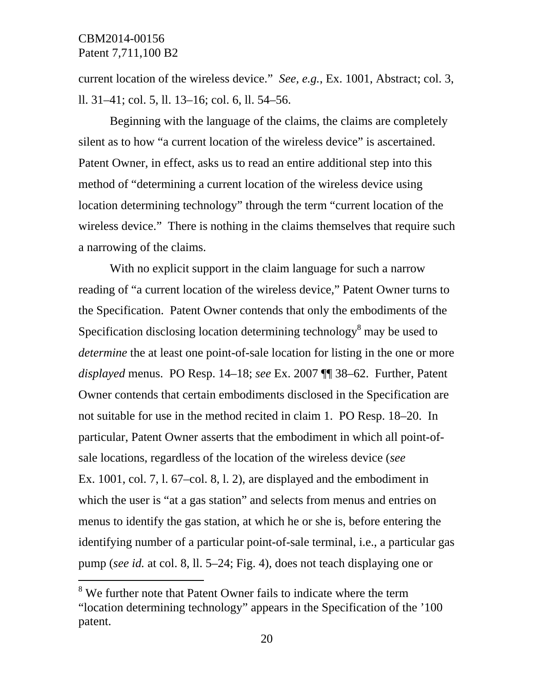-

current location of the wireless device." *See, e.g.*, Ex. 1001, Abstract; col. 3, ll. 31–41; col. 5, ll. 13–16; col. 6, ll. 54–56.

Beginning with the language of the claims, the claims are completely silent as to how "a current location of the wireless device" is ascertained. Patent Owner, in effect, asks us to read an entire additional step into this method of "determining a current location of the wireless device using location determining technology" through the term "current location of the wireless device." There is nothing in the claims themselves that require such a narrowing of the claims.

With no explicit support in the claim language for such a narrow reading of "a current location of the wireless device," Patent Owner turns to the Specification. Patent Owner contends that only the embodiments of the Specification disclosing location determining technology $\delta$  may be used to *determine* the at least one point-of-sale location for listing in the one or more *displayed* menus. PO Resp. 14–18; *see* Ex. 2007 ¶¶ 38–62. Further, Patent Owner contends that certain embodiments disclosed in the Specification are not suitable for use in the method recited in claim 1. PO Resp. 18–20. In particular, Patent Owner asserts that the embodiment in which all point-ofsale locations, regardless of the location of the wireless device (*see* Ex. 1001, col. 7, l. 67–col. 8, l. 2), are displayed and the embodiment in which the user is "at a gas station" and selects from menus and entries on menus to identify the gas station, at which he or she is, before entering the identifying number of a particular point-of-sale terminal, i.e., a particular gas pump (*see id.* at col. 8, ll. 5–24; Fig. 4), does not teach displaying one or

<sup>&</sup>lt;sup>8</sup> We further note that Patent Owner fails to indicate where the term "location determining technology" appears in the Specification of the '100 patent.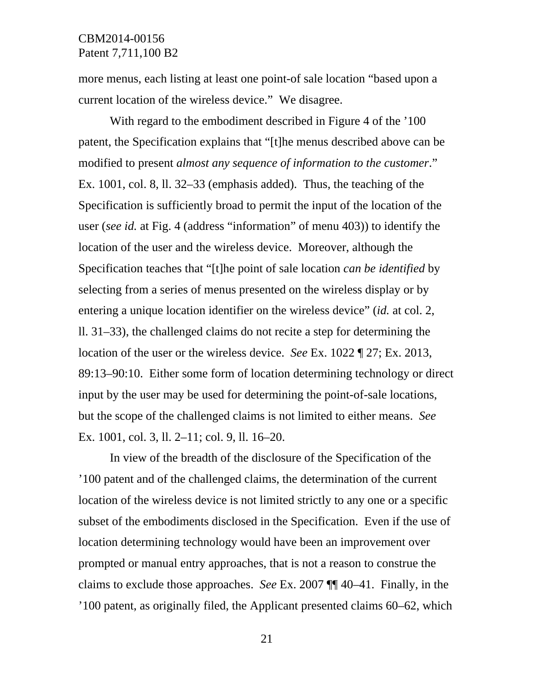more menus, each listing at least one point-of sale location "based upon a current location of the wireless device." We disagree.

With regard to the embodiment described in Figure 4 of the '100 patent, the Specification explains that "[t]he menus described above can be modified to present *almost any sequence of information to the customer*." Ex. 1001, col. 8, ll. 32–33 (emphasis added). Thus, the teaching of the Specification is sufficiently broad to permit the input of the location of the user (*see id.* at Fig. 4 (address "information" of menu 403)) to identify the location of the user and the wireless device. Moreover, although the Specification teaches that "[t]he point of sale location *can be identified* by selecting from a series of menus presented on the wireless display or by entering a unique location identifier on the wireless device" (*id.* at col. 2, ll. 31–33), the challenged claims do not recite a step for determining the location of the user or the wireless device. *See* Ex. 1022 ¶ 27; Ex. 2013, 89:13–90:10. Either some form of location determining technology or direct input by the user may be used for determining the point-of-sale locations, but the scope of the challenged claims is not limited to either means. *See* Ex. 1001, col. 3, ll. 2–11; col. 9, ll. 16–20.

In view of the breadth of the disclosure of the Specification of the '100 patent and of the challenged claims, the determination of the current location of the wireless device is not limited strictly to any one or a specific subset of the embodiments disclosed in the Specification. Even if the use of location determining technology would have been an improvement over prompted or manual entry approaches, that is not a reason to construe the claims to exclude those approaches. *See* Ex. 2007 ¶¶ 40–41. Finally, in the '100 patent, as originally filed, the Applicant presented claims 60–62, which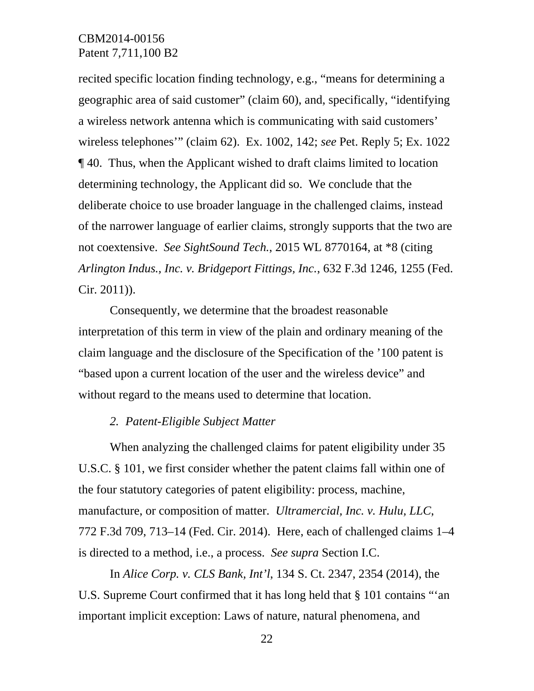recited specific location finding technology, e.g., "means for determining a geographic area of said customer" (claim 60), and, specifically, "identifying a wireless network antenna which is communicating with said customers' wireless telephones'" (claim 62). Ex. 1002, 142; *see* Pet. Reply 5; Ex. 1022 ¶ 40. Thus, when the Applicant wished to draft claims limited to location determining technology, the Applicant did so. We conclude that the deliberate choice to use broader language in the challenged claims, instead of the narrower language of earlier claims, strongly supports that the two are not coextensive. *See SightSound Tech.*, 2015 WL 8770164, at \*8 (citing *Arlington Indus., Inc. v. Bridgeport Fittings, Inc.*, 632 F.3d 1246, 1255 (Fed. Cir. 2011)).

Consequently, we determine that the broadest reasonable interpretation of this term in view of the plain and ordinary meaning of the claim language and the disclosure of the Specification of the '100 patent is "based upon a current location of the user and the wireless device" and without regard to the means used to determine that location.

#### *2. Patent-Eligible Subject Matter*

When analyzing the challenged claims for patent eligibility under 35 U.S.C. § 101, we first consider whether the patent claims fall within one of the four statutory categories of patent eligibility: process, machine, manufacture, or composition of matter. *Ultramercial, Inc. v. Hulu, LLC*, 772 F.3d 709, 713–14 (Fed. Cir. 2014). Here, each of challenged claims 1–4 is directed to a method, i.e., a process. *See supra* Section I.C.

In *Alice Corp. v. CLS Bank, Int'l*, 134 S. Ct. 2347, 2354 (2014), the U.S. Supreme Court confirmed that it has long held that § 101 contains "'an important implicit exception: Laws of nature, natural phenomena, and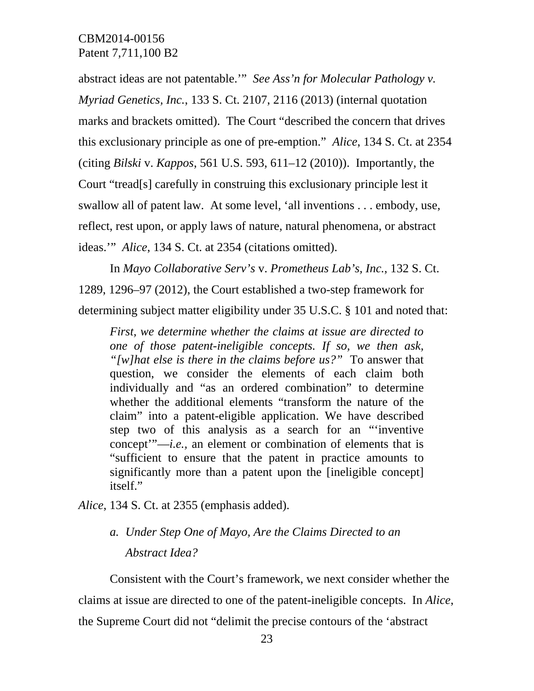abstract ideas are not patentable.'" *See Ass'n for Molecular Pathology v. Myriad Genetics, Inc.*, 133 S. Ct. 2107, 2116 (2013) (internal quotation marks and brackets omitted). The Court "described the concern that drives this exclusionary principle as one of pre-emption." *Alice*, 134 S. Ct. at 2354 (citing *Bilski* v. *Kappos*, 561 U.S. 593, 611–12 (2010)). Importantly, the Court "tread[s] carefully in construing this exclusionary principle lest it swallow all of patent law. At some level, 'all inventions . . . embody, use, reflect, rest upon, or apply laws of nature, natural phenomena, or abstract ideas.'" *Alice*, 134 S. Ct. at 2354 (citations omitted).

In *Mayo Collaborative Serv's* v. *Prometheus Lab's, Inc.*, 132 S. Ct. 1289, 1296–97 (2012), the Court established a two-step framework for determining subject matter eligibility under 35 U.S.C. § 101 and noted that:

*First, we determine whether the claims at issue are directed to one of those patent-ineligible concepts. If so, we then ask, "[w]hat else is there in the claims before us?"* To answer that question, we consider the elements of each claim both individually and "as an ordered combination" to determine whether the additional elements "transform the nature of the claim" into a patent-eligible application. We have described step two of this analysis as a search for an "'inventive concept'"—*i.e.,* an element or combination of elements that is "sufficient to ensure that the patent in practice amounts to significantly more than a patent upon the [ineligible concept] itself."

*Alice*, 134 S. Ct. at 2355 (emphasis added).

# *a. Under Step One of Mayo, Are the Claims Directed to an Abstract Idea?*

Consistent with the Court's framework, we next consider whether the claims at issue are directed to one of the patent-ineligible concepts. In *Alice*, the Supreme Court did not "delimit the precise contours of the 'abstract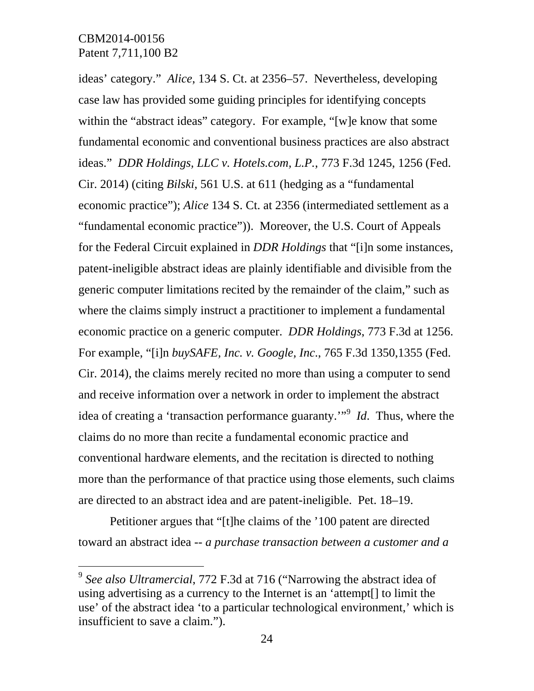-

ideas' category." *Alice*, 134 S. Ct. at 2356–57. Nevertheless, developing case law has provided some guiding principles for identifying concepts within the "abstract ideas" category. For example, "[w]e know that some fundamental economic and conventional business practices are also abstract ideas." *DDR Holdings, LLC v. Hotels.com, L.P.*, 773 F.3d 1245, 1256 (Fed. Cir. 2014) (citing *Bilski*, 561 U.S. at 611 (hedging as a "fundamental economic practice"); *Alice* 134 S. Ct. at 2356 (intermediated settlement as a "fundamental economic practice")). Moreover, the U.S. Court of Appeals for the Federal Circuit explained in *DDR Holdings* that "[i]n some instances, patent-ineligible abstract ideas are plainly identifiable and divisible from the generic computer limitations recited by the remainder of the claim," such as where the claims simply instruct a practitioner to implement a fundamental economic practice on a generic computer. *DDR Holdings*, 773 F.3d at 1256. For example, "[i]n *buySAFE, Inc. v. Google, Inc*., 765 F.3d 1350,1355 (Fed. Cir. 2014), the claims merely recited no more than using a computer to send and receive information over a network in order to implement the abstract idea of creating a 'transaction performance guaranty.'"<sup>9</sup> *Id*. Thus, where the claims do no more than recite a fundamental economic practice and conventional hardware elements, and the recitation is directed to nothing more than the performance of that practice using those elements, such claims are directed to an abstract idea and are patent-ineligible. Pet. 18–19.

Petitioner argues that "[t]he claims of the '100 patent are directed toward an abstract idea -- *a purchase transaction between a customer and a* 

<sup>9</sup> *See also Ultramercial*, 772 F.3d at 716 ("Narrowing the abstract idea of using advertising as a currency to the Internet is an 'attempt[] to limit the use' of the abstract idea 'to a particular technological environment,' which is insufficient to save a claim.").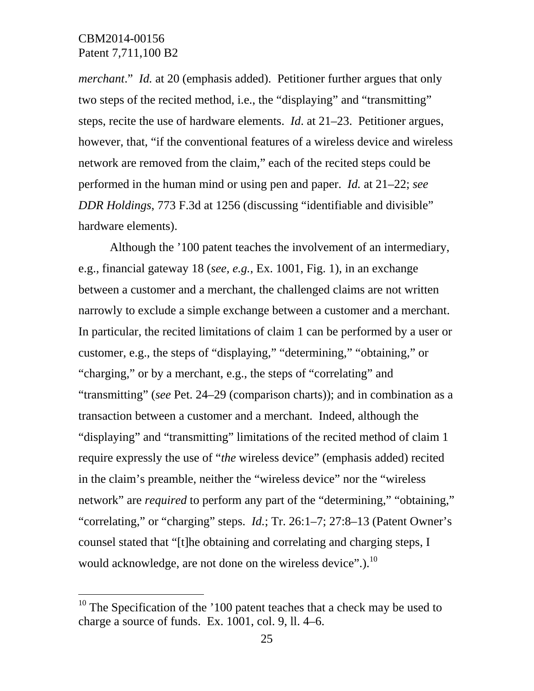-

*merchant*." *Id.* at 20 (emphasis added). Petitioner further argues that only two steps of the recited method, i.e., the "displaying" and "transmitting" steps, recite the use of hardware elements. *Id*. at 21–23. Petitioner argues, however, that, "if the conventional features of a wireless device and wireless network are removed from the claim," each of the recited steps could be performed in the human mind or using pen and paper. *Id.* at 21–22; *see DDR Holdings*, 773 F.3d at 1256 (discussing "identifiable and divisible" hardware elements).

Although the '100 patent teaches the involvement of an intermediary, e.g., financial gateway 18 (*see, e.g.*, Ex. 1001, Fig. 1), in an exchange between a customer and a merchant, the challenged claims are not written narrowly to exclude a simple exchange between a customer and a merchant. In particular, the recited limitations of claim 1 can be performed by a user or customer, e.g., the steps of "displaying," "determining," "obtaining," or "charging," or by a merchant, e.g., the steps of "correlating" and "transmitting" (*see* Pet. 24–29 (comparison charts)); and in combination as a transaction between a customer and a merchant. Indeed, although the "displaying" and "transmitting" limitations of the recited method of claim 1 require expressly the use of "*the* wireless device" (emphasis added) recited in the claim's preamble, neither the "wireless device" nor the "wireless network" are *required* to perform any part of the "determining," "obtaining," "correlating," or "charging" steps. *Id.*; Tr. 26:1–7; 27:8–13 (Patent Owner's counsel stated that "[t]he obtaining and correlating and charging steps, I would acknowledge, are not done on the wireless device".). $^{10}$ 

<sup>&</sup>lt;sup>10</sup> The Specification of the  $100$  patent teaches that a check may be used to charge a source of funds. Ex. 1001, col. 9, ll. 4–6.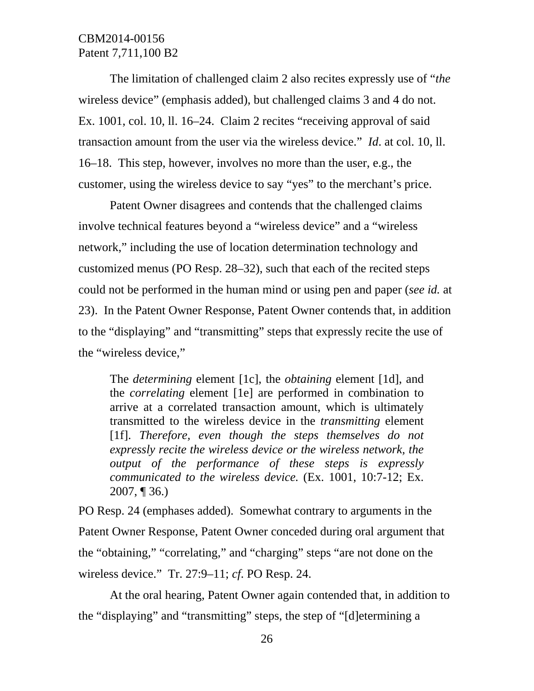The limitation of challenged claim 2 also recites expressly use of "*the* wireless device" (emphasis added), but challenged claims 3 and 4 do not. Ex. 1001, col. 10, ll. 16–24. Claim 2 recites "receiving approval of said transaction amount from the user via the wireless device." *Id*. at col. 10, ll. 16–18. This step, however, involves no more than the user, e.g., the customer, using the wireless device to say "yes" to the merchant's price.

Patent Owner disagrees and contends that the challenged claims involve technical features beyond a "wireless device" and a "wireless network," including the use of location determination technology and customized menus (PO Resp. 28–32), such that each of the recited steps could not be performed in the human mind or using pen and paper (*see id.* at 23). In the Patent Owner Response, Patent Owner contends that, in addition to the "displaying" and "transmitting" steps that expressly recite the use of the "wireless device,"

The *determining* element [1c], the *obtaining* element [1d], and the *correlating* element [1e] are performed in combination to arrive at a correlated transaction amount, which is ultimately transmitted to the wireless device in the *transmitting* element [1f]. *Therefore, even though the steps themselves do not expressly recite the wireless device or the wireless network, the output of the performance of these steps is expressly communicated to the wireless device.* (Ex. 1001, 10:7-12; Ex. 2007, ¶ 36.)

PO Resp. 24 (emphases added). Somewhat contrary to arguments in the Patent Owner Response, Patent Owner conceded during oral argument that the "obtaining," "correlating," and "charging" steps "are not done on the wireless device." Tr. 27:9–11; *cf*. PO Resp. 24.

At the oral hearing, Patent Owner again contended that, in addition to the "displaying" and "transmitting" steps, the step of "[d]etermining a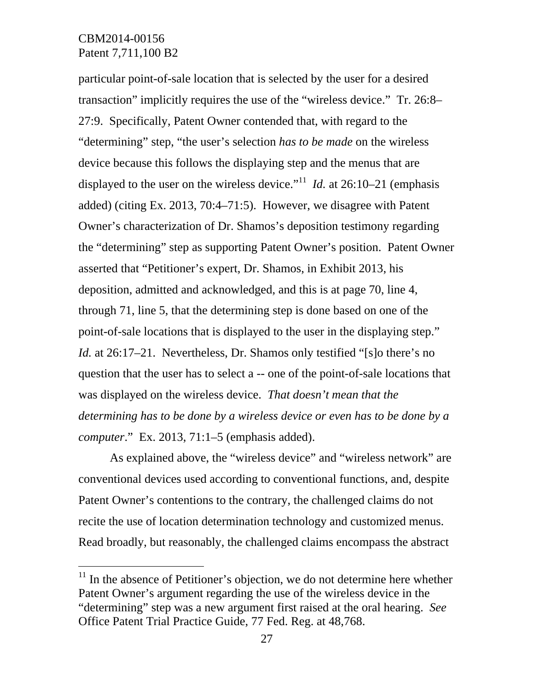$\overline{a}$ 

particular point-of-sale location that is selected by the user for a desired transaction" implicitly requires the use of the "wireless device." Tr. 26:8– 27:9. Specifically, Patent Owner contended that, with regard to the "determining" step, "the user's selection *has to be made* on the wireless device because this follows the displaying step and the menus that are displayed to the user on the wireless device."<sup>11</sup> *Id.* at 26:10–21 (emphasis added) (citing Ex. 2013, 70:4–71:5). However, we disagree with Patent Owner's characterization of Dr. Shamos's deposition testimony regarding the "determining" step as supporting Patent Owner's position. Patent Owner asserted that "Petitioner's expert, Dr. Shamos, in Exhibit 2013, his deposition, admitted and acknowledged, and this is at page 70, line 4, through 71, line 5, that the determining step is done based on one of the point-of-sale locations that is displayed to the user in the displaying step." *Id.* at 26:17–21. Nevertheless, Dr. Shamos only testified "[s]o there's no question that the user has to select a -- one of the point-of-sale locations that was displayed on the wireless device. *That doesn't mean that the determining has to be done by a wireless device or even has to be done by a computer*." Ex. 2013, 71:1–5 (emphasis added).

As explained above, the "wireless device" and "wireless network" are conventional devices used according to conventional functions, and, despite Patent Owner's contentions to the contrary, the challenged claims do not recite the use of location determination technology and customized menus. Read broadly, but reasonably, the challenged claims encompass the abstract

 $11$  In the absence of Petitioner's objection, we do not determine here whether Patent Owner's argument regarding the use of the wireless device in the "determining" step was a new argument first raised at the oral hearing. *See* Office Patent Trial Practice Guide, 77 Fed. Reg. at 48,768.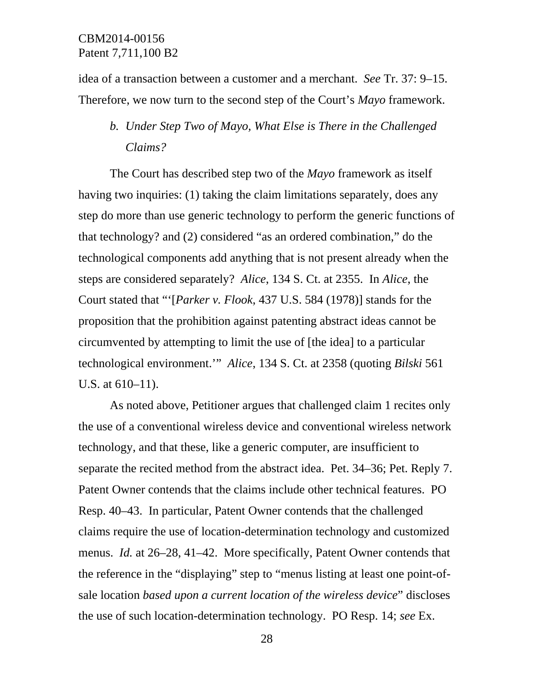idea of a transaction between a customer and a merchant. *See* Tr. 37: 9–15. Therefore, we now turn to the second step of the Court's *Mayo* framework.

# *b. Under Step Two of Mayo, What Else is There in the Challenged Claims?*

The Court has described step two of the *Mayo* framework as itself having two inquiries: (1) taking the claim limitations separately, does any step do more than use generic technology to perform the generic functions of that technology? and (2) considered "as an ordered combination," do the technological components add anything that is not present already when the steps are considered separately? *Alice*, 134 S. Ct. at 2355. In *Alice*, the Court stated that "'[*Parker v. Flook*, 437 U.S. 584 (1978)] stands for the proposition that the prohibition against patenting abstract ideas cannot be circumvented by attempting to limit the use of [the idea] to a particular technological environment.'" *Alice*, 134 S. Ct. at 2358 (quoting *Bilski* 561 U.S. at 610–11).

As noted above, Petitioner argues that challenged claim 1 recites only the use of a conventional wireless device and conventional wireless network technology, and that these, like a generic computer, are insufficient to separate the recited method from the abstract idea. Pet. 34–36; Pet. Reply 7. Patent Owner contends that the claims include other technical features. PO Resp. 40–43. In particular, Patent Owner contends that the challenged claims require the use of location-determination technology and customized menus. *Id.* at 26–28, 41–42. More specifically, Patent Owner contends that the reference in the "displaying" step to "menus listing at least one point-ofsale location *based upon a current location of the wireless device*" discloses the use of such location-determination technology. PO Resp. 14; *see* Ex.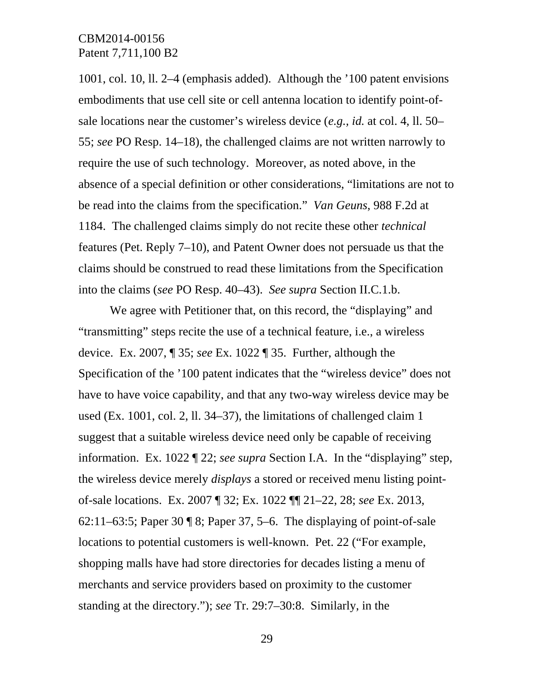1001, col. 10, ll. 2–4 (emphasis added). Although the '100 patent envisions embodiments that use cell site or cell antenna location to identify point-ofsale locations near the customer's wireless device (*e.g., id.* at col. 4, ll. 50– 55; *see* PO Resp. 14–18), the challenged claims are not written narrowly to require the use of such technology. Moreover, as noted above, in the absence of a special definition or other considerations, "limitations are not to be read into the claims from the specification." *Van Geuns*, 988 F.2d at 1184. The challenged claims simply do not recite these other *technical* features (Pet. Reply 7–10), and Patent Owner does not persuade us that the claims should be construed to read these limitations from the Specification into the claims (*see* PO Resp. 40–43). *See supra* Section II.C.1.b.

We agree with Petitioner that, on this record, the "displaying" and "transmitting" steps recite the use of a technical feature, i.e., a wireless device. Ex. 2007, ¶ 35; *see* Ex. 1022 ¶ 35. Further, although the Specification of the '100 patent indicates that the "wireless device" does not have to have voice capability, and that any two-way wireless device may be used (Ex. 1001, col. 2, ll. 34–37), the limitations of challenged claim 1 suggest that a suitable wireless device need only be capable of receiving information. Ex. 1022 ¶ 22; *see supra* Section I.A. In the "displaying" step, the wireless device merely *displays* a stored or received menu listing pointof-sale locations. Ex. 2007 ¶ 32; Ex. 1022 ¶¶ 21–22, 28; *see* Ex. 2013, 62:11–63:5; Paper 30  $\parallel$  8; Paper 37, 5–6. The displaying of point-of-sale locations to potential customers is well-known. Pet. 22 ("For example, shopping malls have had store directories for decades listing a menu of merchants and service providers based on proximity to the customer standing at the directory."); *see* Tr. 29:7–30:8. Similarly, in the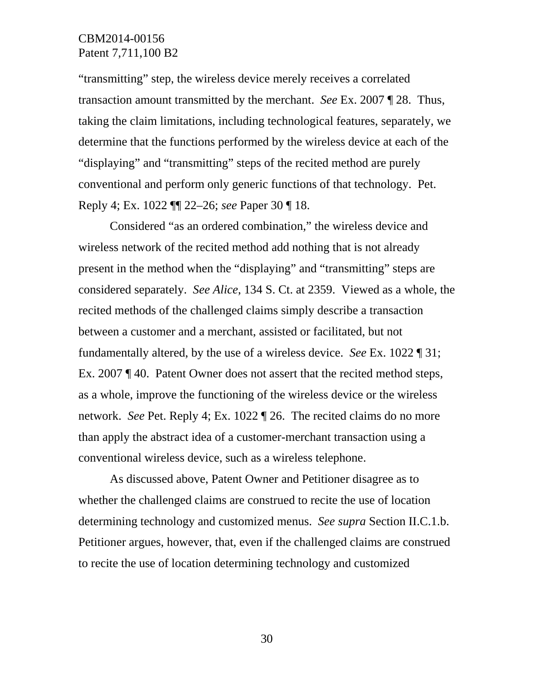"transmitting" step, the wireless device merely receives a correlated transaction amount transmitted by the merchant. *See* Ex. 2007 ¶ 28. Thus, taking the claim limitations, including technological features, separately, we determine that the functions performed by the wireless device at each of the "displaying" and "transmitting" steps of the recited method are purely conventional and perform only generic functions of that technology. Pet. Reply 4; Ex. 1022 ¶¶ 22–26; *see* Paper 30 ¶ 18.

Considered "as an ordered combination," the wireless device and wireless network of the recited method add nothing that is not already present in the method when the "displaying" and "transmitting" steps are considered separately. *See Alice*, 134 S. Ct. at 2359. Viewed as a whole, the recited methods of the challenged claims simply describe a transaction between a customer and a merchant, assisted or facilitated, but not fundamentally altered, by the use of a wireless device. *See* Ex. 1022 ¶ 31; Ex. 2007 ¶ 40. Patent Owner does not assert that the recited method steps, as a whole, improve the functioning of the wireless device or the wireless network. *See* Pet. Reply 4; Ex. 1022 ¶ 26. The recited claims do no more than apply the abstract idea of a customer-merchant transaction using a conventional wireless device, such as a wireless telephone.

As discussed above, Patent Owner and Petitioner disagree as to whether the challenged claims are construed to recite the use of location determining technology and customized menus. *See supra* Section II.C.1.b. Petitioner argues, however, that, even if the challenged claims are construed to recite the use of location determining technology and customized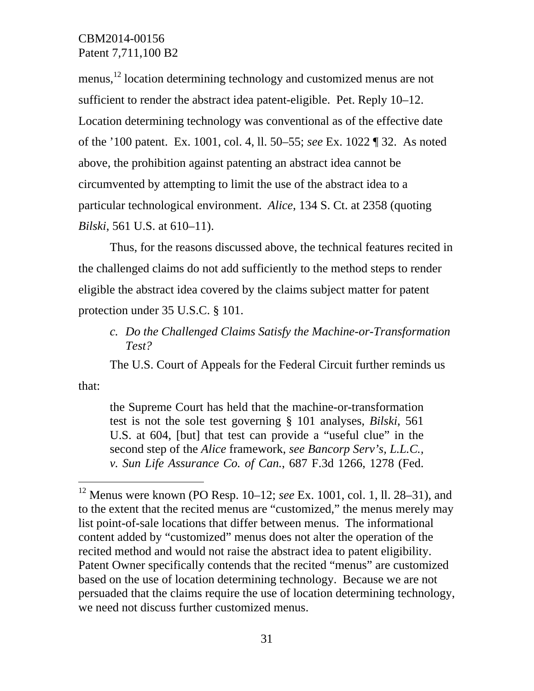menus,<sup>12</sup> location determining technology and customized menus are not sufficient to render the abstract idea patent-eligible. Pet. Reply 10–12. Location determining technology was conventional as of the effective date of the '100 patent. Ex. 1001, col. 4, ll. 50–55; *see* Ex. 1022 ¶ 32. As noted above, the prohibition against patenting an abstract idea cannot be circumvented by attempting to limit the use of the abstract idea to a particular technological environment. *Alice*, 134 S. Ct. at 2358 (quoting *Bilski*, 561 U.S. at 610–11).

Thus, for the reasons discussed above, the technical features recited in the challenged claims do not add sufficiently to the method steps to render eligible the abstract idea covered by the claims subject matter for patent protection under 35 U.S.C. § 101.

*c. Do the Challenged Claims Satisfy the Machine-or-Transformation Test?* 

The U.S. Court of Appeals for the Federal Circuit further reminds us

that:

 $\overline{a}$ 

the Supreme Court has held that the machine-or-transformation test is not the sole test governing § 101 analyses, *Bilski*, 561 U.S. at 604, [but] that test can provide a "useful clue" in the second step of the *Alice* framework, *see Bancorp Serv's, L.L.C., v. Sun Life Assurance Co. of Can.*, 687 F.3d 1266, 1278 (Fed.

<sup>12</sup> Menus were known (PO Resp. 10–12; *see* Ex. 1001, col. 1, ll. 28–31), and to the extent that the recited menus are "customized," the menus merely may list point-of-sale locations that differ between menus. The informational content added by "customized" menus does not alter the operation of the recited method and would not raise the abstract idea to patent eligibility. Patent Owner specifically contends that the recited "menus" are customized based on the use of location determining technology. Because we are not persuaded that the claims require the use of location determining technology, we need not discuss further customized menus.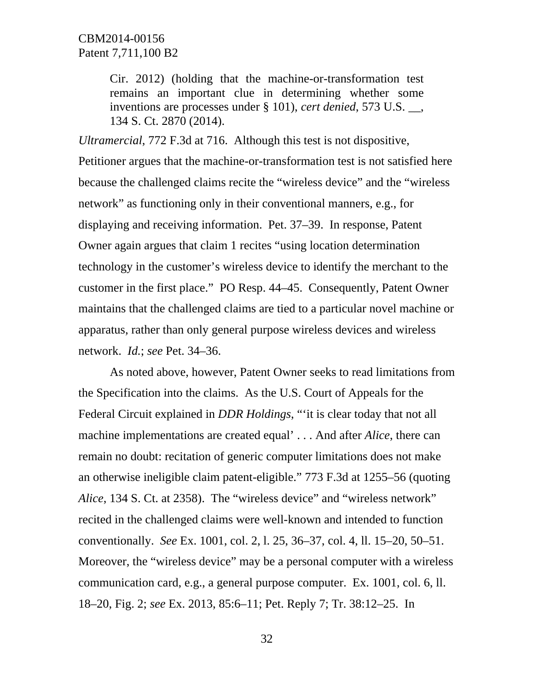Cir. 2012) (holding that the machine-or-transformation test remains an important clue in determining whether some inventions are processes under § 101), *cert denied*, 573 U.S. \_\_, 134 S. Ct. 2870 (2014).

*Ultramercial*, 772 F.3d at 716. Although this test is not dispositive,

Petitioner argues that the machine-or-transformation test is not satisfied here because the challenged claims recite the "wireless device" and the "wireless network" as functioning only in their conventional manners, e.g., for displaying and receiving information. Pet. 37–39. In response, Patent Owner again argues that claim 1 recites "using location determination technology in the customer's wireless device to identify the merchant to the customer in the first place." PO Resp. 44–45. Consequently, Patent Owner maintains that the challenged claims are tied to a particular novel machine or apparatus, rather than only general purpose wireless devices and wireless network. *Id.*; *see* Pet. 34–36.

As noted above, however, Patent Owner seeks to read limitations from the Specification into the claims. As the U.S. Court of Appeals for the Federal Circuit explained in *DDR Holdings*, "'it is clear today that not all machine implementations are created equal' . . . And after *Alice*, there can remain no doubt: recitation of generic computer limitations does not make an otherwise ineligible claim patent-eligible." 773 F.3d at 1255–56 (quoting *Alice*, 134 S. Ct. at 2358). The "wireless device" and "wireless network" recited in the challenged claims were well-known and intended to function conventionally. *See* Ex. 1001, col. 2, l. 25, 36–37, col. 4, ll. 15–20, 50–51. Moreover, the "wireless device" may be a personal computer with a wireless communication card, e.g., a general purpose computer. Ex. 1001, col. 6, ll. 18–20, Fig. 2; *see* Ex. 2013, 85:6–11; Pet. Reply 7; Tr. 38:12–25. In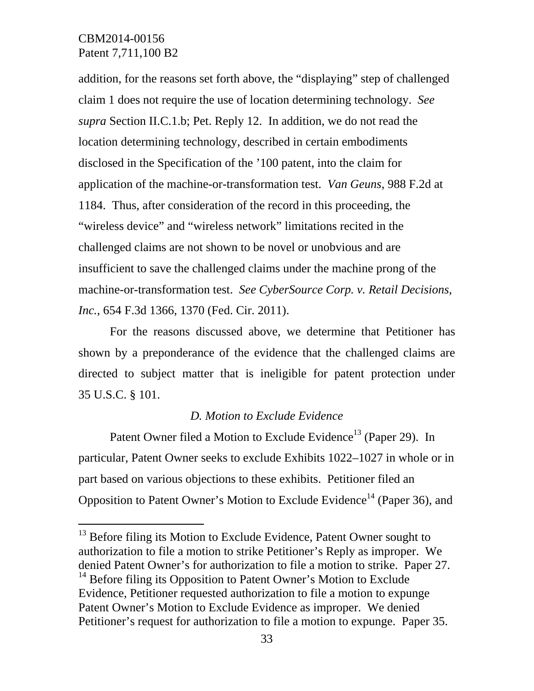$\overline{a}$ 

addition, for the reasons set forth above, the "displaying" step of challenged claim 1 does not require the use of location determining technology. *See supra* Section II.C.1.b; Pet. Reply 12. In addition, we do not read the location determining technology, described in certain embodiments disclosed in the Specification of the '100 patent, into the claim for application of the machine-or-transformation test. *Van Geuns*, 988 F.2d at 1184. Thus, after consideration of the record in this proceeding, the "wireless device" and "wireless network" limitations recited in the challenged claims are not shown to be novel or unobvious and are insufficient to save the challenged claims under the machine prong of the machine-or-transformation test. *See CyberSource Corp. v. Retail Decisions, Inc.*, 654 F.3d 1366, 1370 (Fed. Cir. 2011).

 For the reasons discussed above, we determine that Petitioner has shown by a preponderance of the evidence that the challenged claims are directed to subject matter that is ineligible for patent protection under 35 U.S.C. § 101.

#### *D. Motion to Exclude Evidence*

Patent Owner filed a Motion to Exclude Evidence<sup>13</sup> (Paper 29). In particular, Patent Owner seeks to exclude Exhibits 1022–1027 in whole or in part based on various objections to these exhibits. Petitioner filed an Opposition to Patent Owner's Motion to Exclude Evidence<sup>14</sup> (Paper 36), and

<sup>&</sup>lt;sup>13</sup> Before filing its Motion to Exclude Evidence, Patent Owner sought to authorization to file a motion to strike Petitioner's Reply as improper. We denied Patent Owner's for authorization to file a motion to strike. Paper 27.  $<sup>14</sup>$  Before filing its Opposition to Patent Owner's Motion to Exclude</sup> Evidence, Petitioner requested authorization to file a motion to expunge Patent Owner's Motion to Exclude Evidence as improper. We denied Petitioner's request for authorization to file a motion to expunge. Paper 35.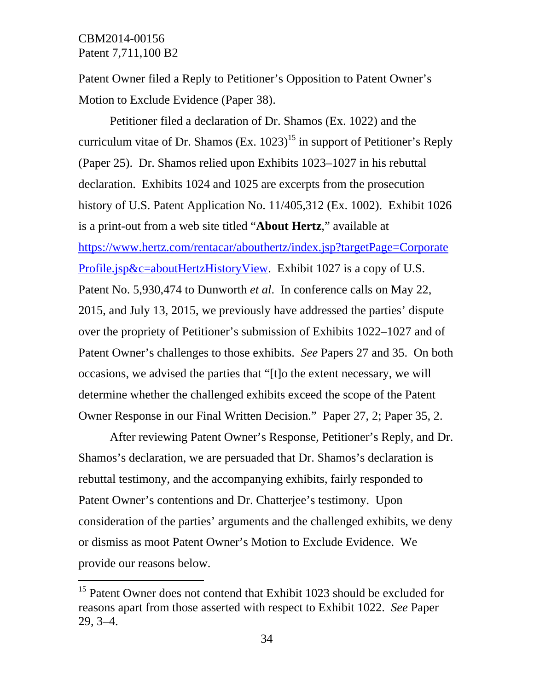$\overline{a}$ 

Patent Owner filed a Reply to Petitioner's Opposition to Patent Owner's Motion to Exclude Evidence (Paper 38).

Petitioner filed a declaration of Dr. Shamos (Ex. 1022) and the curriculum vitae of Dr. Shamos (Ex.  $1023$ )<sup>15</sup> in support of Petitioner's Reply (Paper 25). Dr. Shamos relied upon Exhibits 1023–1027 in his rebuttal declaration. Exhibits 1024 and 1025 are excerpts from the prosecution history of U.S. Patent Application No. 11/405,312 (Ex. 1002). Exhibit 1026 is a print-out from a web site titled "**About Hertz**," available at https://www.hertz.com/rentacar/abouthertz/index.jsp?targetPage=Corporate Profile.jsp&c=aboutHertzHistoryView. Exhibit 1027 is a copy of U.S. Patent No. 5,930,474 to Dunworth *et al*. In conference calls on May 22, 2015, and July 13, 2015, we previously have addressed the parties' dispute over the propriety of Petitioner's submission of Exhibits 1022–1027 and of Patent Owner's challenges to those exhibits. *See* Papers 27 and 35. On both occasions, we advised the parties that "[t]o the extent necessary, we will determine whether the challenged exhibits exceed the scope of the Patent Owner Response in our Final Written Decision." Paper 27, 2; Paper 35, 2.

After reviewing Patent Owner's Response, Petitioner's Reply, and Dr. Shamos's declaration, we are persuaded that Dr. Shamos's declaration is rebuttal testimony, and the accompanying exhibits, fairly responded to Patent Owner's contentions and Dr. Chatterjee's testimony. Upon consideration of the parties' arguments and the challenged exhibits, we deny or dismiss as moot Patent Owner's Motion to Exclude Evidence. We provide our reasons below.

<sup>&</sup>lt;sup>15</sup> Patent Owner does not contend that Exhibit 1023 should be excluded for reasons apart from those asserted with respect to Exhibit 1022. *See* Paper 29, 3–4.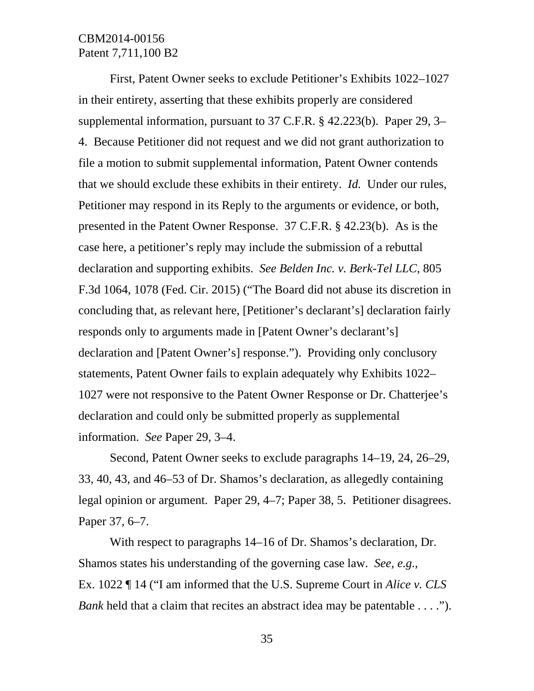First, Patent Owner seeks to exclude Petitioner's Exhibits 1022–1027 in their entirety, asserting that these exhibits properly are considered supplemental information, pursuant to 37 C.F.R. § 42.223(b). Paper 29, 3– 4. Because Petitioner did not request and we did not grant authorization to file a motion to submit supplemental information, Patent Owner contends that we should exclude these exhibits in their entirety. *Id.* Under our rules, Petitioner may respond in its Reply to the arguments or evidence, or both, presented in the Patent Owner Response. 37 C.F.R. § 42.23(b). As is the case here, a petitioner's reply may include the submission of a rebuttal declaration and supporting exhibits. *See Belden Inc. v. Berk-Tel LLC*, 805 F.3d 1064, 1078 (Fed. Cir. 2015) ("The Board did not abuse its discretion in concluding that, as relevant here, [Petitioner's declarant's] declaration fairly responds only to arguments made in [Patent Owner's declarant's] declaration and [Patent Owner's] response."). Providing only conclusory statements, Patent Owner fails to explain adequately why Exhibits 1022– 1027 were not responsive to the Patent Owner Response or Dr. Chatterjee's declaration and could only be submitted properly as supplemental information. *See* Paper 29, 3–4.

Second, Patent Owner seeks to exclude paragraphs 14–19, 24, 26–29, 33, 40, 43, and 46–53 of Dr. Shamos's declaration, as allegedly containing legal opinion or argument. Paper 29, 4–7; Paper 38, 5. Petitioner disagrees. Paper 37, 6–7.

With respect to paragraphs 14–16 of Dr. Shamos's declaration, Dr. Shamos states his understanding of the governing case law. *See, e.g.*, Ex. 1022 ¶ 14 ("I am informed that the U.S. Supreme Court in *Alice v. CLS Bank* held that a claim that recites an abstract idea may be patentable . . . .").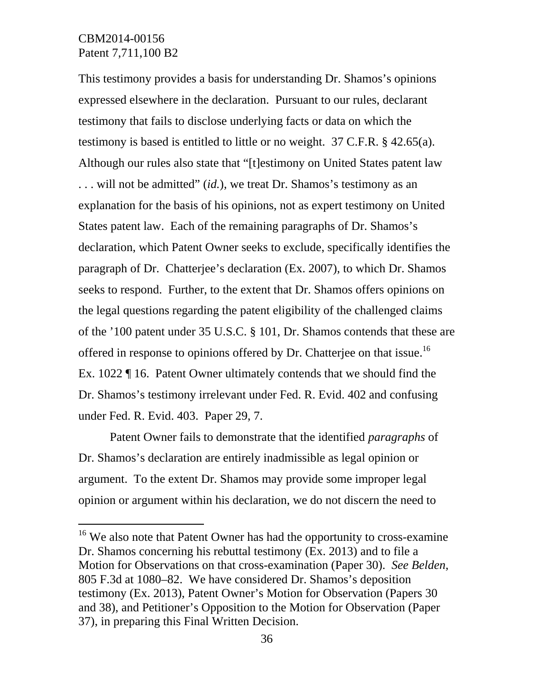-

This testimony provides a basis for understanding Dr. Shamos's opinions expressed elsewhere in the declaration. Pursuant to our rules, declarant testimony that fails to disclose underlying facts or data on which the testimony is based is entitled to little or no weight. 37 C.F.R. § 42.65(a). Although our rules also state that "[t]estimony on United States patent law . . . will not be admitted" (*id.*), we treat Dr. Shamos's testimony as an explanation for the basis of his opinions, not as expert testimony on United States patent law. Each of the remaining paragraphs of Dr. Shamos's declaration, which Patent Owner seeks to exclude, specifically identifies the paragraph of Dr. Chatterjee's declaration (Ex. 2007), to which Dr. Shamos seeks to respond. Further, to the extent that Dr. Shamos offers opinions on the legal questions regarding the patent eligibility of the challenged claims of the '100 patent under 35 U.S.C. § 101, Dr. Shamos contends that these are offered in response to opinions offered by Dr. Chatterjee on that issue.<sup>16</sup> Ex. 1022 ¶ 16. Patent Owner ultimately contends that we should find the Dr. Shamos's testimony irrelevant under Fed. R. Evid. 402 and confusing under Fed. R. Evid. 403. Paper 29, 7.

Patent Owner fails to demonstrate that the identified *paragraphs* of Dr. Shamos's declaration are entirely inadmissible as legal opinion or argument. To the extent Dr. Shamos may provide some improper legal opinion or argument within his declaration, we do not discern the need to

<sup>&</sup>lt;sup>16</sup> We also note that Patent Owner has had the opportunity to cross-examine Dr. Shamos concerning his rebuttal testimony (Ex. 2013) and to file a Motion for Observations on that cross-examination (Paper 30). *See Belden*, 805 F.3d at 1080–82. We have considered Dr. Shamos's deposition testimony (Ex. 2013), Patent Owner's Motion for Observation (Papers 30 and 38), and Petitioner's Opposition to the Motion for Observation (Paper 37), in preparing this Final Written Decision.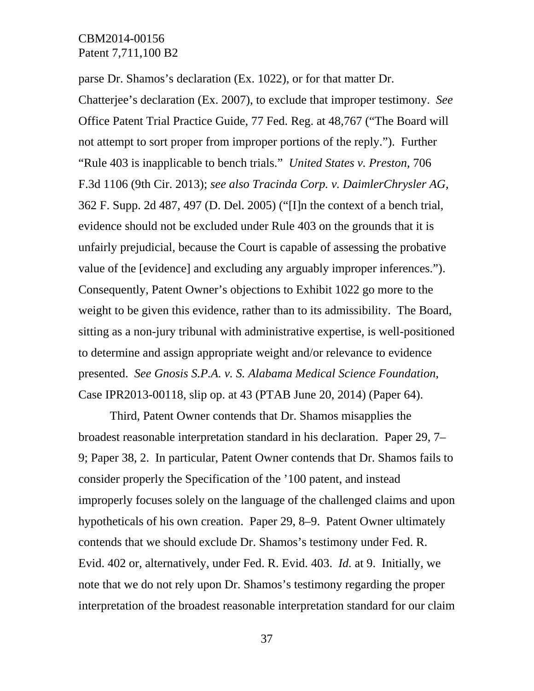parse Dr. Shamos's declaration (Ex. 1022), or for that matter Dr. Chatterjee's declaration (Ex. 2007), to exclude that improper testimony. *See* Office Patent Trial Practice Guide, 77 Fed. Reg. at 48,767 ("The Board will not attempt to sort proper from improper portions of the reply."). Further "Rule 403 is inapplicable to bench trials." *United States v. Preston*, 706 F.3d 1106 (9th Cir. 2013); *see also Tracinda Corp. v. DaimlerChrysler AG*, 362 F. Supp. 2d 487, 497 (D. Del. 2005) ("[I]n the context of a bench trial, evidence should not be excluded under Rule 403 on the grounds that it is unfairly prejudicial, because the Court is capable of assessing the probative value of the [evidence] and excluding any arguably improper inferences."). Consequently, Patent Owner's objections to Exhibit 1022 go more to the weight to be given this evidence, rather than to its admissibility. The Board, sitting as a non-jury tribunal with administrative expertise, is well-positioned to determine and assign appropriate weight and/or relevance to evidence presented. *See Gnosis S.P.A. v. S. Alabama Medical Science Foundation*, Case IPR2013-00118, slip op. at 43 (PTAB June 20, 2014) (Paper 64).

Third, Patent Owner contends that Dr. Shamos misapplies the broadest reasonable interpretation standard in his declaration. Paper 29, 7– 9; Paper 38, 2. In particular, Patent Owner contends that Dr. Shamos fails to consider properly the Specification of the '100 patent, and instead improperly focuses solely on the language of the challenged claims and upon hypotheticals of his own creation. Paper 29, 8–9. Patent Owner ultimately contends that we should exclude Dr. Shamos's testimony under Fed. R. Evid. 402 or, alternatively, under Fed. R. Evid. 403. *Id.* at 9. Initially, we note that we do not rely upon Dr. Shamos's testimony regarding the proper interpretation of the broadest reasonable interpretation standard for our claim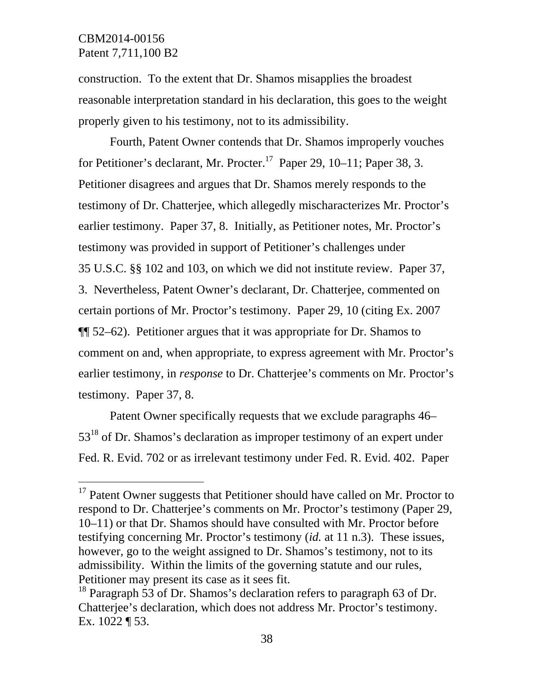-

construction. To the extent that Dr. Shamos misapplies the broadest reasonable interpretation standard in his declaration, this goes to the weight properly given to his testimony, not to its admissibility.

Fourth, Patent Owner contends that Dr. Shamos improperly vouches for Petitioner's declarant, Mr. Procter.<sup>17</sup> Paper 29, 10–11; Paper 38, 3. Petitioner disagrees and argues that Dr. Shamos merely responds to the testimony of Dr. Chatterjee, which allegedly mischaracterizes Mr. Proctor's earlier testimony. Paper 37, 8. Initially, as Petitioner notes, Mr. Proctor's testimony was provided in support of Petitioner's challenges under 35 U.S.C. §§ 102 and 103, on which we did not institute review. Paper 37, 3. Nevertheless, Patent Owner's declarant, Dr. Chatterjee, commented on certain portions of Mr. Proctor's testimony. Paper 29, 10 (citing Ex. 2007 ¶¶ 52–62). Petitioner argues that it was appropriate for Dr. Shamos to comment on and, when appropriate, to express agreement with Mr. Proctor's earlier testimony, in *response* to Dr. Chatterjee's comments on Mr. Proctor's testimony. Paper 37, 8.

Patent Owner specifically requests that we exclude paragraphs 46–  $53^{18}$  of Dr. Shamos's declaration as improper testimony of an expert under Fed. R. Evid. 702 or as irrelevant testimony under Fed. R. Evid. 402. Paper

<sup>&</sup>lt;sup>17</sup> Patent Owner suggests that Petitioner should have called on Mr. Proctor to respond to Dr. Chatterjee's comments on Mr. Proctor's testimony (Paper 29, 10–11) or that Dr. Shamos should have consulted with Mr. Proctor before testifying concerning Mr. Proctor's testimony (*id.* at 11 n.3). These issues, however, go to the weight assigned to Dr. Shamos's testimony, not to its admissibility. Within the limits of the governing statute and our rules, Petitioner may present its case as it sees fit.

<sup>&</sup>lt;sup>18</sup> Paragraph 53 of Dr. Shamos's declaration refers to paragraph 63 of Dr. Chatterjee's declaration, which does not address Mr. Proctor's testimony. Ex. 1022 ¶ 53.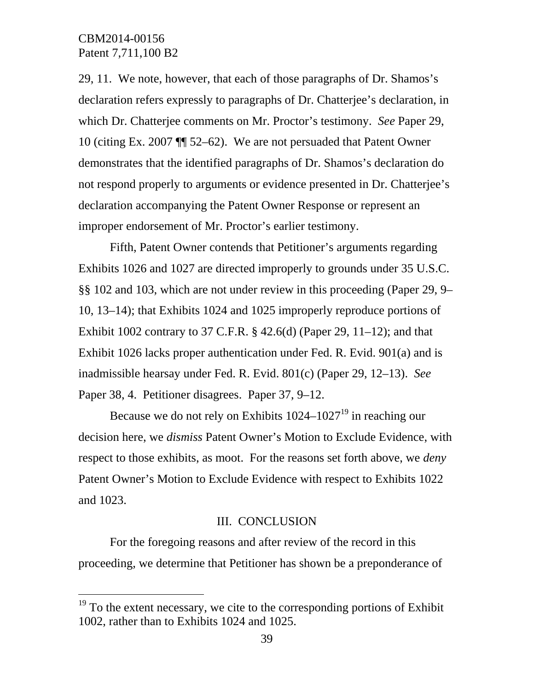$\overline{a}$ 

29, 11. We note, however, that each of those paragraphs of Dr. Shamos's declaration refers expressly to paragraphs of Dr. Chatterjee's declaration, in which Dr. Chatterjee comments on Mr. Proctor's testimony. *See* Paper 29, 10 (citing Ex. 2007 ¶¶ 52–62). We are not persuaded that Patent Owner demonstrates that the identified paragraphs of Dr. Shamos's declaration do not respond properly to arguments or evidence presented in Dr. Chatterjee's declaration accompanying the Patent Owner Response or represent an improper endorsement of Mr. Proctor's earlier testimony.

Fifth, Patent Owner contends that Petitioner's arguments regarding Exhibits 1026 and 1027 are directed improperly to grounds under 35 U.S.C. §§ 102 and 103, which are not under review in this proceeding (Paper 29, 9– 10, 13–14); that Exhibits 1024 and 1025 improperly reproduce portions of Exhibit 1002 contrary to 37 C.F.R.  $\S$  42.6(d) (Paper 29, 11–12); and that Exhibit 1026 lacks proper authentication under Fed. R. Evid. 901(a) and is inadmissible hearsay under Fed. R. Evid. 801(c) (Paper 29, 12–13). *See* Paper 38, 4. Petitioner disagrees. Paper 37, 9–12.

Because we do not rely on Exhibits  $1024-1027^{19}$  in reaching our decision here, we *dismiss* Patent Owner's Motion to Exclude Evidence, with respect to those exhibits, as moot. For the reasons set forth above, we *deny* Patent Owner's Motion to Exclude Evidence with respect to Exhibits 1022 and 1023.

#### III. CONCLUSION

For the foregoing reasons and after review of the record in this proceeding, we determine that Petitioner has shown be a preponderance of

 $19$  To the extent necessary, we cite to the corresponding portions of Exhibit 1002, rather than to Exhibits 1024 and 1025.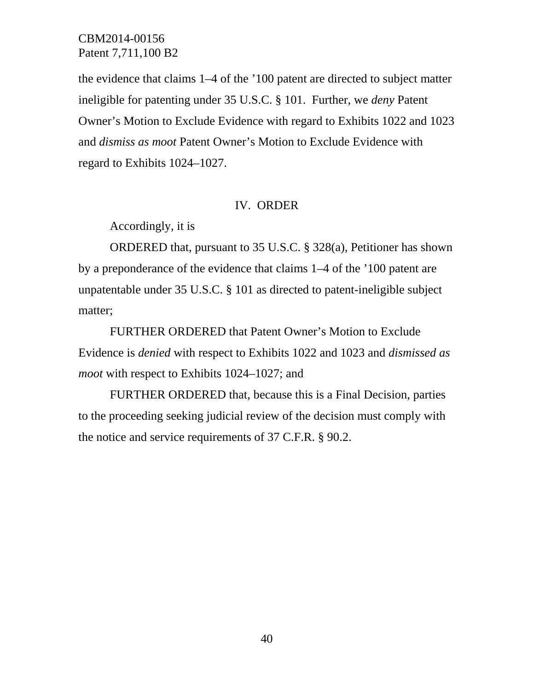the evidence that claims 1–4 of the '100 patent are directed to subject matter ineligible for patenting under 35 U.S.C. § 101. Further, we *deny* Patent Owner's Motion to Exclude Evidence with regard to Exhibits 1022 and 1023 and *dismiss as moot* Patent Owner's Motion to Exclude Evidence with regard to Exhibits 1024–1027.

#### IV. ORDER

Accordingly, it is

 ORDERED that, pursuant to 35 U.S.C. § 328(a), Petitioner has shown by a preponderance of the evidence that claims 1–4 of the '100 patent are unpatentable under 35 U.S.C. § 101 as directed to patent-ineligible subject matter;

FURTHER ORDERED that Patent Owner's Motion to Exclude Evidence is *denied* with respect to Exhibits 1022 and 1023 and *dismissed as moot* with respect to Exhibits 1024–1027; and

 FURTHER ORDERED that, because this is a Final Decision, parties to the proceeding seeking judicial review of the decision must comply with the notice and service requirements of 37 C.F.R. § 90.2.